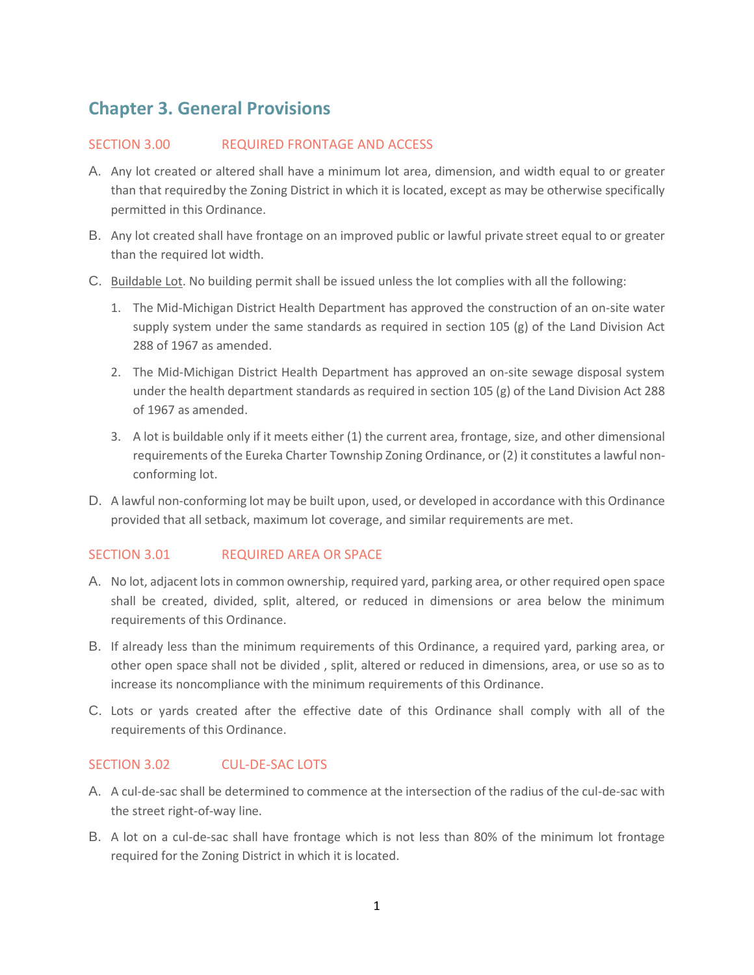# **Chapter 3. General Provisions**

### SECTION 3.00 REQUIRED FRONTAGE AND ACCESS

- A. Any lot created or altered shall have a minimum lot area, dimension, and width equal to or greater than that requiredby the Zoning District in which it is located, except as may be otherwise specifically permitted in this Ordinance.
- B. Any lot created shall have frontage on an improved public or lawful private street equal to or greater than the required lot width.
- C. Buildable Lot. No building permit shall be issued unless the lot complies with all the following:
	- 1. The Mid-Michigan District Health Department has approved the construction of an on-site water supply system under the same standards as required in section 105  $(g)$  of the Land Division Act 288 of 1967 as amended.
	- 2. The Mid-Michigan District Health Department has approved an on-site sewage disposal system under the health department standards as required in section 105 (g) of the Land Division Act 288 of 1967 as amended.
	- 3. A lot is buildable only if it meets either (1) the current area, frontage, size, and other dimensional requirements of the Eureka Charter Township Zoning Ordinance, or (2) it constitutes a lawful nonconforming lot.
- D. A lawful non-conforming lot may be built upon, used, or developed in accordance with this Ordinance provided that all setback, maximum lot coverage, and similar requirements are met.

## SECTION 3.01 REQUIRED AREA OR SPACE

- A. No lot, adjacent lots in common ownership, required yard, parking area, or other required open space shall be created, divided, split, altered, or reduced in dimensions or area below the minimum requirements of this Ordinance.
- B. If already less than the minimum requirements of this Ordinance, a required yard, parking area, or other open space shall not be divided , split, altered or reduced in dimensions, area, or use so as to increase its noncompliance with the minimum requirements of this Ordinance.
- C. Lots or yards created after the effective date of this Ordinance shall comply with all of the requirements of this Ordinance.

## SECTION 3.02 CUL-DE-SAC LOTS

- A. A cul-de-sac shall be determined to commence at the intersection of the radius of the cul-de-sac with the street right-of-way line.
- B. A lot on a cul-de-sac shall have frontage which is not less than 80% of the minimum lot frontage required for the Zoning District in which it islocated.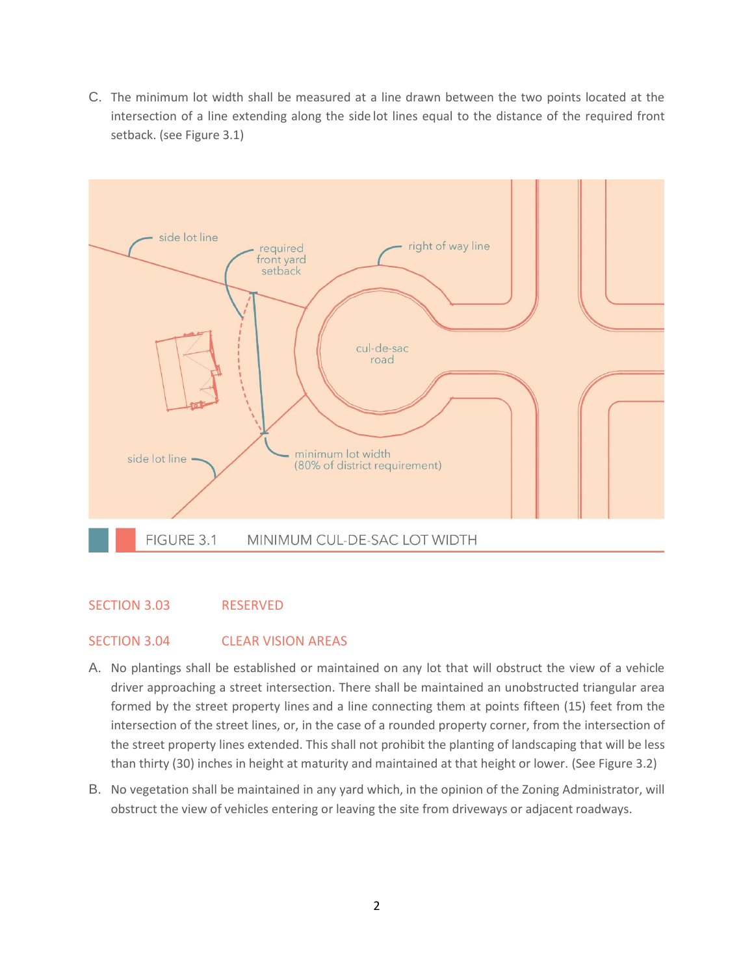C. The minimum lot width shall be measured at a line drawn between the two points located at the intersection of a line extending along the side lot lines equal to the distance of the required front setback. (see Figure 3.1)



### SECTION 3.03 RESERVED

### SECTION 3.04 CLEAR VISION AREAS

- A. No plantings shall be established or maintained on any lot that will obstruct the view of a vehicle driver approaching a street intersection. There shall be maintained an unobstructed triangular area formed by the street property lines and a line connecting them at points fifteen (15) feet from the intersection of the street lines, or, in the case of a rounded property corner, from the intersection of the street property lines extended. This shall not prohibit the planting of landscaping that will be less than thirty (30) inches in height at maturity and maintained at that height or lower. (See Figure 3.2)
- B. No vegetation shall be maintained in any yard which, in the opinion of the Zoning Administrator, will obstruct the view of vehicles entering or leaving the site from driveways or adjacent roadways.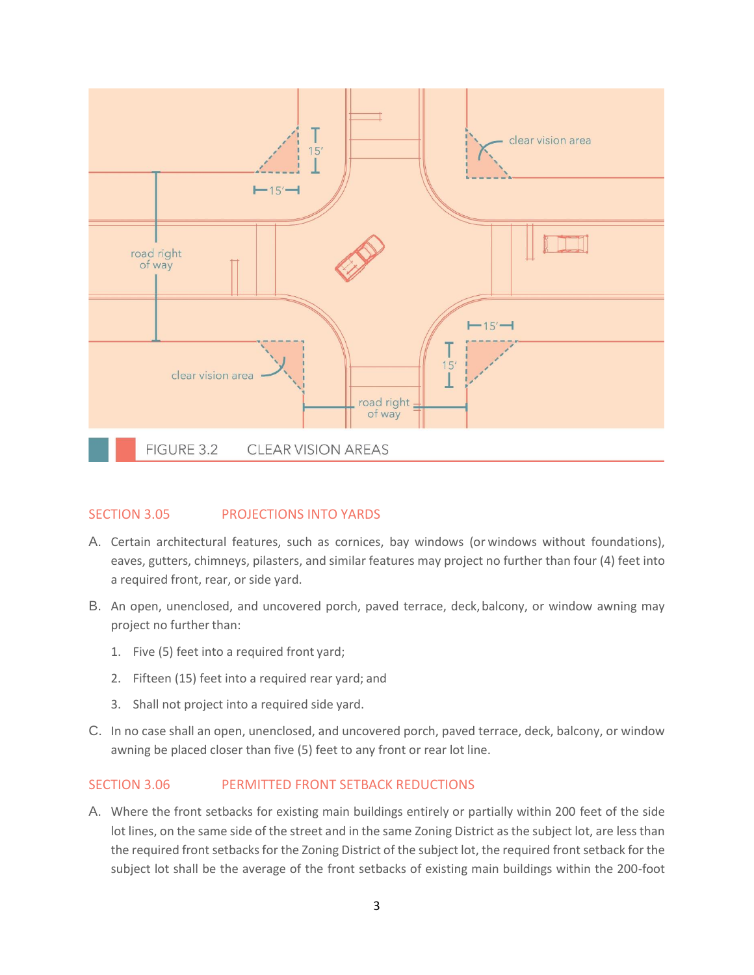

## SECTION 3.05 PROJECTIONS INTO YARDS

- A. Certain architectural features, such as cornices, bay windows (or windows without foundations), eaves, gutters, chimneys, pilasters, and similar features may project no further than four (4) feet into a required front, rear, or side yard.
- B. An open, unenclosed, and uncovered porch, paved terrace, deck,balcony, or window awning may project no further than:
	- 1. Five (5) feet into a required front yard;
	- 2. Fifteen (15) feet into a required rear yard; and
	- 3. Shall not project into a required side yard.
- C. In no case shall an open, unenclosed, and uncovered porch, paved terrace, deck, balcony, or window awning be placed closer than five (5) feet to any front or rear lot line.

## SECTION 3.06 PERMITTED FRONT SETBACK REDUCTIONS

A. Where the front setbacks for existing main buildings entirely or partially within 200 feet of the side lot lines, on the same side of the street and in the same Zoning District as the subject lot, are less than the required front setbacks for the Zoning District of the subject lot, the required front setback for the subject lot shall be the average of the front setbacks of existing main buildings within the 200-foot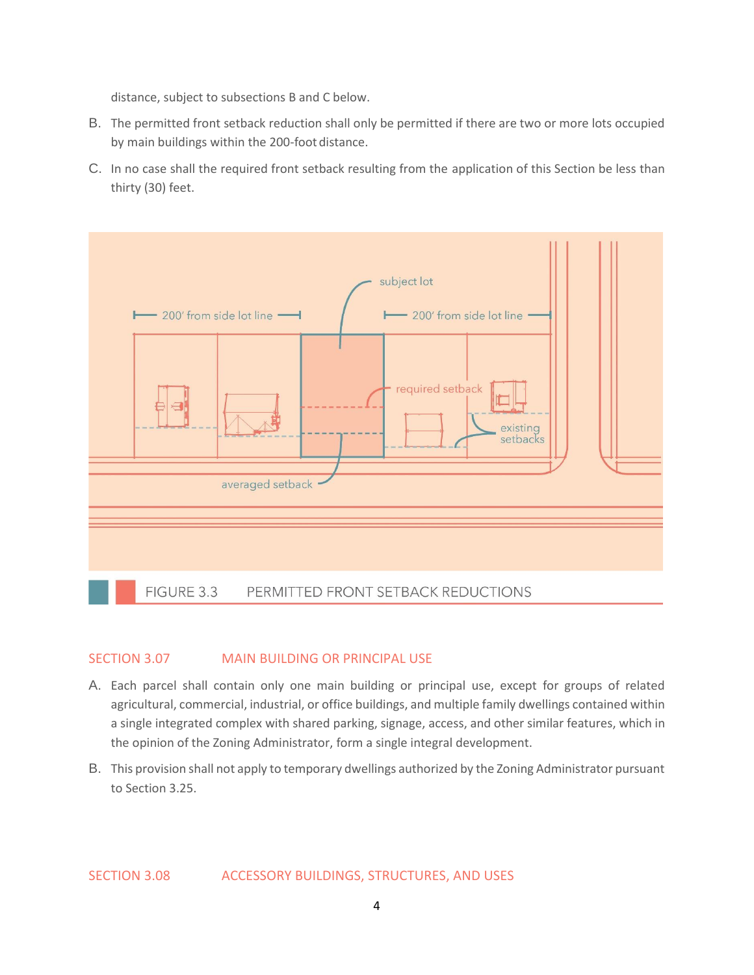distance, subject to subsections B and C below.

- B. The permitted front setback reduction shall only be permitted if there are two or more lots occupied by main buildings within the 200-foot distance.
- C. In no case shall the required front setback resulting from the application of this Section be less than thirty (30) feet.



### SECTION 3.07 MAIN BUILDING OR PRINCIPAL USE

- A. Each parcel shall contain only one main building or principal use, except for groups of related agricultural, commercial, industrial, or office buildings, and multiple family dwellings contained within a single integrated complex with shared parking, signage, access, and other similar features, which in the opinion of the Zoning Administrator, form a single integral development.
- B. This provision shall not apply to temporary dwellings authorized by the Zoning Administrator pursuant to Section 3.25.

SECTION 3.08 ACCESSORY BUILDINGS, STRUCTURES, AND USES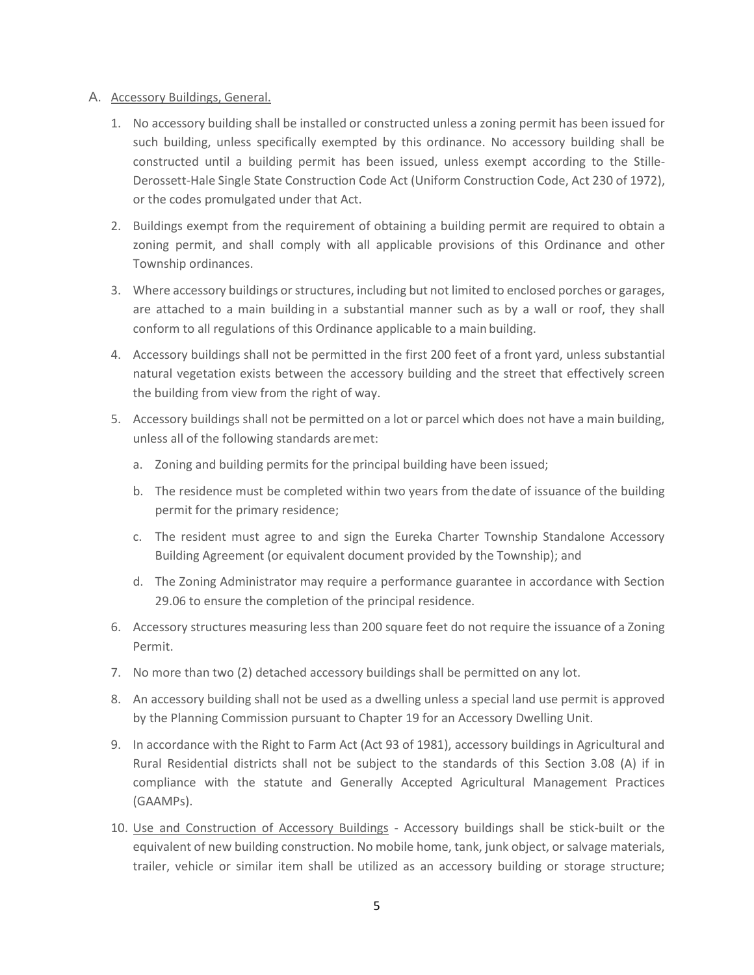#### A. Accessory Buildings, General.

- 1. No accessory building shall be installed or constructed unless a zoning permit has been issued for such building, unless specifically exempted by this ordinance. No accessory building shall be constructed until a building permit has been issued, unless exempt according to the Stille-Derossett-Hale Single State Construction Code Act (Uniform Construction Code, Act 230 of 1972), or the codes promulgated under that Act.
- 2. Buildings exempt from the requirement of obtaining a building permit are required to obtain a zoning permit, and shall comply with all applicable provisions of this Ordinance and other Township ordinances.
- 3. Where accessory buildings or structures, including but not limited to enclosed porches or garages, are attached to a main building in a substantial manner such as by a wall or roof, they shall conform to all regulations of this Ordinance applicable to a main building.
- 4. Accessory buildings shall not be permitted in the first 200 feet of a front yard, unless substantial natural vegetation exists between the accessory building and the street that effectively screen the building from view from the right of way.
- 5. Accessory buildings shall not be permitted on a lot or parcel which does not have a main building, unless all of the following standards aremet:
	- a. Zoning and building permits for the principal building have been issued;
	- b. The residence must be completed within two years from thedate of issuance of the building permit for the primary residence;
	- c. The resident must agree to and sign the Eureka Charter Township Standalone Accessory Building Agreement (or equivalent document provided by the Township); and
	- d. The Zoning Administrator may require a performance guarantee in accordance with Section 29.06 to ensure the completion of the principal residence.
- 6. Accessory structures measuring less than 200 square feet do not require the issuance of a Zoning Permit.
- 7. No more than two (2) detached accessory buildings shall be permitted on any lot.
- 8. An accessory building shall not be used as a dwelling unless a special land use permit is approved by the Planning Commission pursuant to Chapter 19 for an Accessory Dwelling Unit.
- 9. In accordance with the Right to Farm Act (Act 93 of 1981), accessory buildings in Agricultural and Rural Residential districts shall not be subject to the standards of this Section 3.08 (A) if in compliance with the statute and Generally Accepted Agricultural Management Practices (GAAMPs).
- 10. Use and Construction of Accessory Buildings Accessory buildings shall be stick-built or the equivalent of new building construction. No mobile home, tank, junk object, or salvage materials, trailer, vehicle or similar item shall be utilized as an accessory building or storage structure;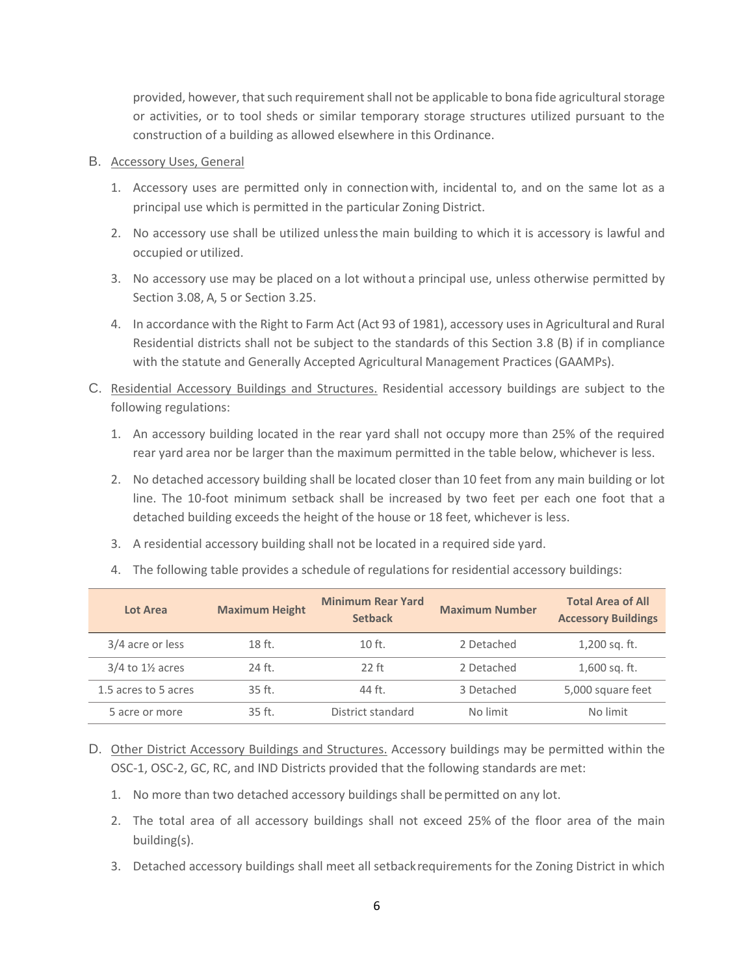provided, however, that such requirement shall not be applicable to bona fide agricultural storage or activities, or to tool sheds or similar temporary storage structures utilized pursuant to the construction of a building as allowed elsewhere in this Ordinance.

#### B. Accessory Uses, General

- 1. Accessory uses are permitted only in connectionwith, incidental to, and on the same lot as a principal use which is permitted in the particular Zoning District.
- 2. No accessory use shall be utilized unlessthe main building to which it is accessory is lawful and occupied or utilized.
- 3. No accessory use may be placed on a lot without a principal use, unless otherwise permitted by Section 3.08, A, 5 or Section 3.25.
- 4. In accordance with the Right to Farm Act (Act 93 of 1981), accessory uses in Agricultural and Rural Residential districts shall not be subject to the standards of this Section 3.8 (B) if in compliance with the statute and Generally Accepted Agricultural Management Practices (GAAMPs).
- C. Residential Accessory Buildings and Structures. Residential accessory buildings are subject to the following regulations:
	- 1. An accessory building located in the rear yard shall not occupy more than 25% of the required rear yard area nor be larger than the maximum permitted in the table below, whichever is less.
	- 2. No detached accessory building shall be located closer than 10 feet from any main building or lot line. The 10-foot minimum setback shall be increased by two feet per each one foot that a detached building exceeds the height of the house or 18 feet, whichever is less.
	- 3. A residential accessory building shall not be located in a required side yard.
	- 4. The following table provides a schedule of regulations for residential accessory buildings:

| Lot Area                      | <b>Maximum Height</b> | <b>Minimum Rear Yard</b><br><b>Setback</b> | <b>Maximum Number</b> | <b>Total Area of All</b><br><b>Accessory Buildings</b> |
|-------------------------------|-----------------------|--------------------------------------------|-----------------------|--------------------------------------------------------|
| 3/4 acre or less              | 18 ft.                | $10$ ft.                                   | 2 Detached            | 1,200 sq. ft.                                          |
| $3/4$ to $1\frac{1}{2}$ acres | 24 ft.                | $22$ ft                                    | 2 Detached            | 1,600 sq. ft.                                          |
| 1.5 acres to 5 acres          | $35ft$ .              | 44 ft.                                     | 3 Detached            | 5,000 square feet                                      |
| 5 acre or more                | $35$ ft.              | District standard                          | No limit              | No limit                                               |

- D. Other District Accessory Buildings and Structures. Accessory buildings may be permitted within the OSC-1, OSC-2, GC, RC, and IND Districts provided that the following standards are met:
	- 1. No more than two detached accessory buildings shall bepermitted on any lot.
	- 2. The total area of all accessory buildings shall not exceed 25% of the floor area of the main building(s).
	- 3. Detached accessory buildings shall meet all setbackrequirements for the Zoning District in which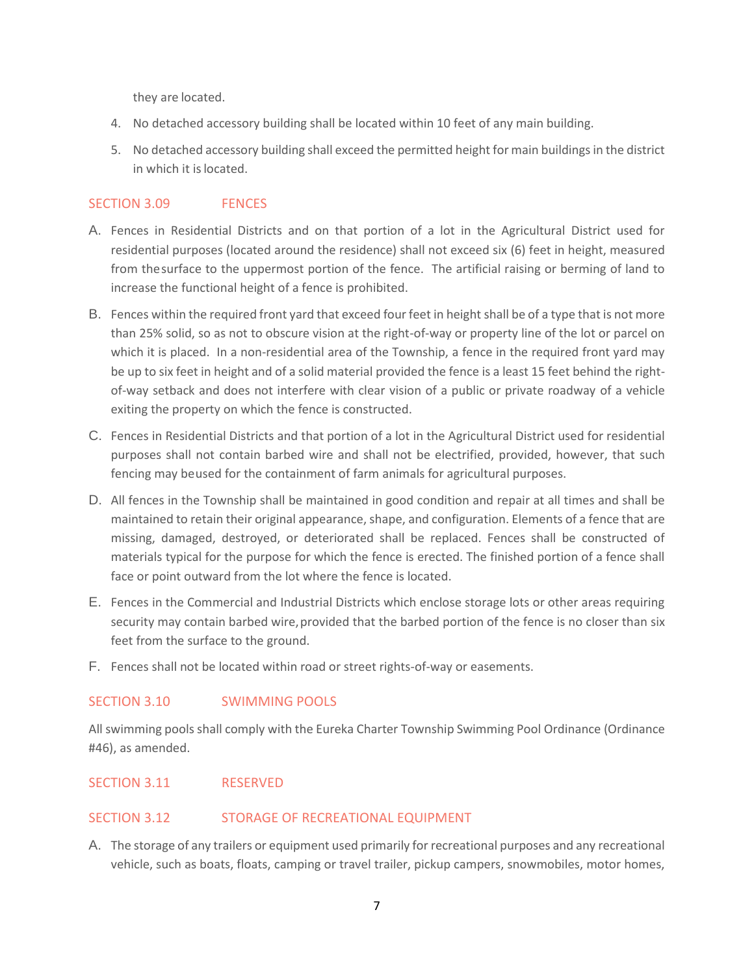they are located.

- 4. No detached accessory building shall be located within 10 feet of any main building.
- 5. No detached accessory building shall exceed the permitted height for main buildings in the district in which it islocated.

## SECTION 3.09 FENCES

- A. Fences in Residential Districts and on that portion of a lot in the Agricultural District used for residential purposes (located around the residence) shall not exceed six (6) feet in height, measured from thesurface to the uppermost portion of the fence. The artificial raising or berming of land to increase the functional height of a fence is prohibited.
- B. Fences within the required front yard that exceed four feet in height shall be of a type that is not more than 25% solid, so as not to obscure vision at the right-of-way or property line of the lot or parcel on which it is placed. In a non-residential area of the Township, a fence in the required front yard may be up to six feet in height and of a solid material provided the fence is a least 15 feet behind the rightof-way setback and does not interfere with clear vision of a public or private roadway of a vehicle exiting the property on which the fence is constructed.
- C. Fences in Residential Districts and that portion of a lot in the Agricultural District used for residential purposes shall not contain barbed wire and shall not be electrified, provided, however, that such fencing may beused for the containment of farm animals for agricultural purposes.
- D. All fences in the Township shall be maintained in good condition and repair at all times and shall be maintained to retain their original appearance, shape, and configuration. Elements of a fence that are missing, damaged, destroyed, or deteriorated shall be replaced. Fences shall be constructed of materials typical for the purpose for which the fence is erected. The finished portion of a fence shall face or point outward from the lot where the fence is located.
- E. Fences in the Commercial and Industrial Districts which enclose storage lots or other areas requiring security may contain barbed wire, provided that the barbed portion of the fence is no closer than six feet from the surface to the ground.
- F. Fences shall not be located within road or street rights-of-way or easements.

## SECTION 3.10 SWIMMING POOLS

All swimming pools shall comply with the Eureka Charter Township Swimming Pool Ordinance (Ordinance #46), as amended.

## SECTION 3.11 RESERVED

### SECTION 3.12 STORAGE OF RECREATIONAL EQUIPMENT

A. The storage of any trailers or equipment used primarily for recreational purposes and any recreational vehicle, such as boats, floats, camping or travel trailer, pickup campers, snowmobiles, motor homes,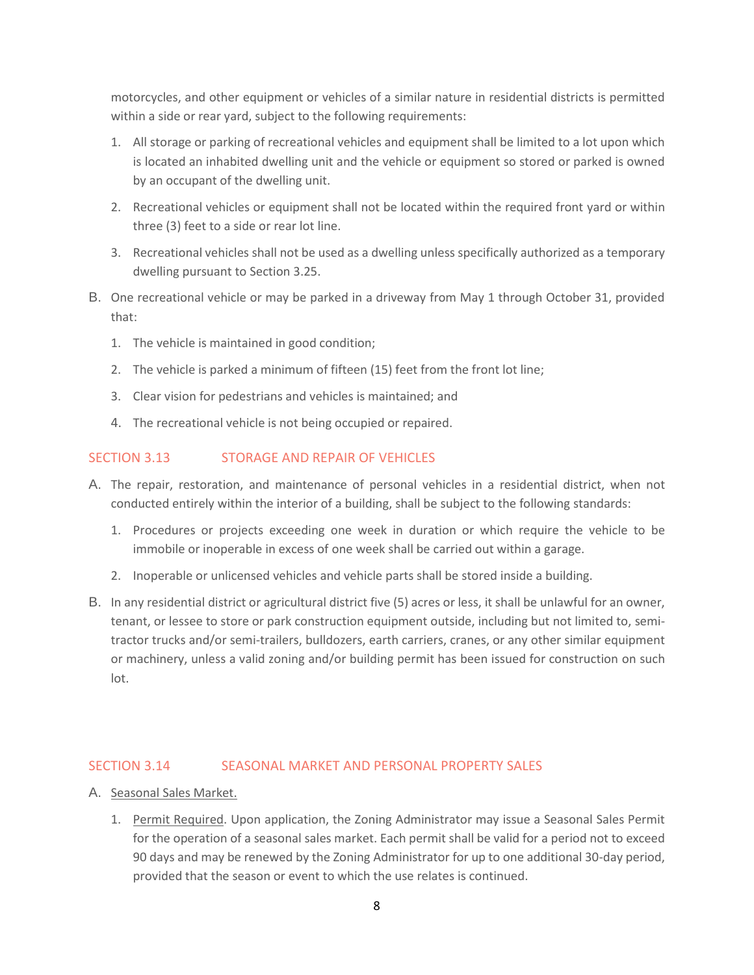motorcycles, and other equipment or vehicles of a similar nature in residential districts is permitted within a side or rear yard, subject to the following requirements:

- 1. All storage or parking of recreational vehicles and equipment shall be limited to a lot upon which is located an inhabited dwelling unit and the vehicle or equipment so stored or parked is owned by an occupant of the dwelling unit.
- 2. Recreational vehicles or equipment shall not be located within the required front yard or within three (3) feet to a side or rear lot line.
- 3. Recreational vehicles shall not be used as a dwelling unless specifically authorized as a temporary dwelling pursuant to Section 3.25.
- B. One recreational vehicle or may be parked in a driveway from May 1 through October 31, provided that:
	- 1. The vehicle is maintained in good condition;
	- 2. The vehicle is parked a minimum of fifteen (15) feet from the front lot line;
	- 3. Clear vision for pedestrians and vehicles is maintained; and
	- 4. The recreational vehicle is not being occupied or repaired.

## SECTION 3.13 STORAGE AND REPAIR OF VEHICLES

- A. The repair, restoration, and maintenance of personal vehicles in a residential district, when not conducted entirely within the interior of a building, shall be subject to the following standards:
	- 1. Procedures or projects exceeding one week in duration or which require the vehicle to be immobile or inoperable in excess of one week shall be carried out within a garage.
	- 2. Inoperable or unlicensed vehicles and vehicle parts shall be stored inside a building.
- B. In any residential district or agricultural district five (5) acres or less, it shall be unlawful for an owner, tenant, or lessee to store or park construction equipment outside, including but not limited to, semitractor trucks and/or semi-trailers, bulldozers, earth carriers, cranes, or any other similar equipment or machinery, unless a valid zoning and/or building permit has been issued for construction on such lot.

### SECTION 3.14 SEASONAL MARKET AND PERSONAL PROPERTY SALES

- A. Seasonal Sales Market.
	- 1. Permit Required. Upon application, the Zoning Administrator may issue a Seasonal Sales Permit for the operation of a seasonal sales market. Each permit shall be valid for a period not to exceed 90 days and may be renewed by the Zoning Administrator for up to one additional 30-day period, provided that the season or event to which the use relates is continued.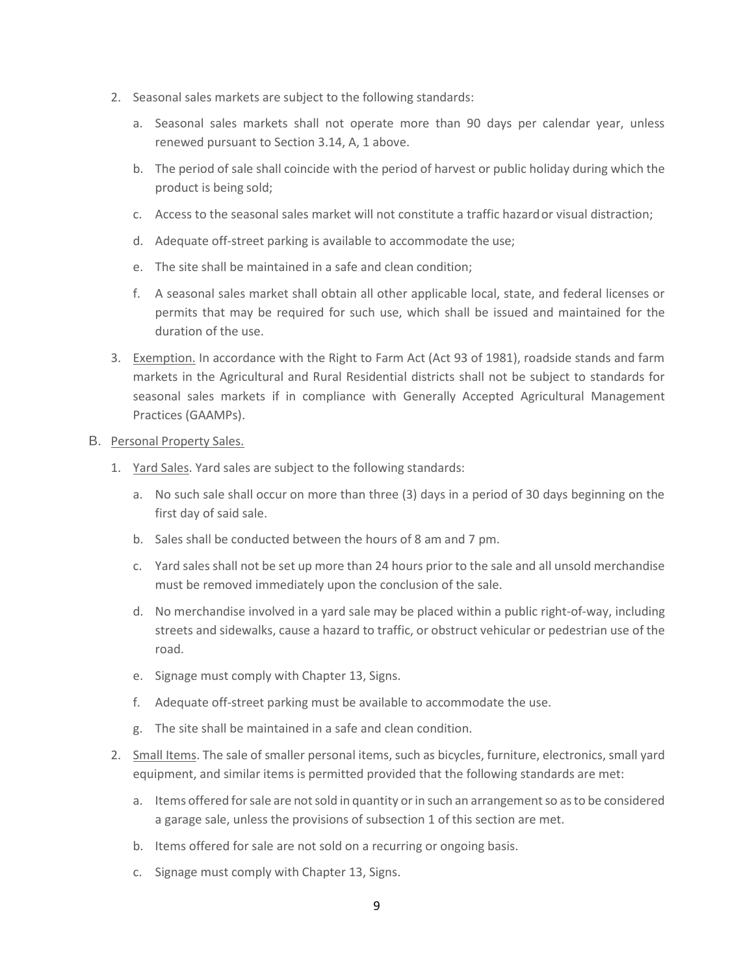- 2. Seasonal sales markets are subject to the following standards:
	- a. Seasonal sales markets shall not operate more than 90 days per calendar year, unless renewed pursuant to Section 3.14, A, 1 above.
	- b. The period of sale shall coincide with the period of harvest or public holiday during which the product is being sold;
	- c. Access to the seasonal sales market will not constitute a traffic hazardor visual distraction;
	- d. Adequate off-street parking is available to accommodate the use;
	- e. The site shall be maintained in a safe and clean condition;
	- f. A seasonal sales market shall obtain all other applicable local, state, and federal licenses or permits that may be required for such use, which shall be issued and maintained for the duration of the use.
- 3. Exemption. In accordance with the Right to Farm Act (Act 93 of 1981), roadside stands and farm markets in the Agricultural and Rural Residential districts shall not be subject to standards for seasonal sales markets if in compliance with Generally Accepted Agricultural Management Practices (GAAMPs).

#### B. Personal Property Sales.

- 1. Yard Sales. Yard sales are subject to the following standards:
	- a. No such sale shall occur on more than three (3) days in a period of 30 days beginning on the first day of said sale.
	- b. Sales shall be conducted between the hours of 8 am and 7 pm.
	- c. Yard sales shall not be set up more than 24 hours prior to the sale and all unsold merchandise must be removed immediately upon the conclusion of the sale.
	- d. No merchandise involved in a yard sale may be placed within a public right-of-way, including streets and sidewalks, cause a hazard to traffic, or obstruct vehicular or pedestrian use of the road.
	- e. Signage must comply with Chapter 13, Signs.
	- f. Adequate off-street parking must be available to accommodate the use.
	- g. The site shall be maintained in a safe and clean condition.
- 2. Small Items. The sale of smaller personal items, such as bicycles, furniture, electronics, small yard equipment, and similar items is permitted provided that the following standards are met:
	- a. Items offered for sale are not sold in quantity or in such an arrangement so as to be considered a garage sale, unless the provisions of subsection 1 of this section are met.
	- b. Items offered for sale are not sold on a recurring or ongoing basis.
	- c. Signage must comply with Chapter 13, Signs.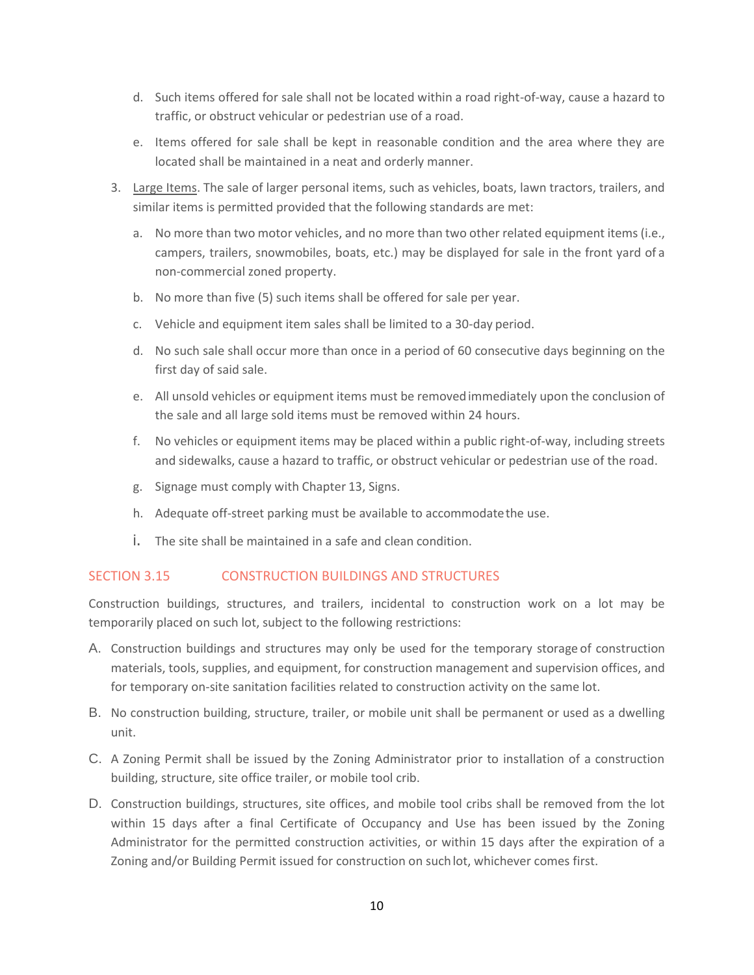- d. Such items offered for sale shall not be located within a road right-of-way, cause a hazard to traffic, or obstruct vehicular or pedestrian use of a road.
- e. Items offered for sale shall be kept in reasonable condition and the area where they are located shall be maintained in a neat and orderly manner.
- 3. Large Items. The sale of larger personal items, such as vehicles, boats, lawn tractors, trailers, and similar items is permitted provided that the following standards are met:
	- a. No more than two motor vehicles, and no more than two other related equipment items (i.e., campers, trailers, snowmobiles, boats, etc.) may be displayed for sale in the front yard of a non-commercial zoned property.
	- b. No more than five (5) such items shall be offered for sale per year.
	- c. Vehicle and equipment item sales shall be limited to a 30-day period.
	- d. No such sale shall occur more than once in a period of 60 consecutive days beginning on the first day of said sale.
	- e. All unsold vehicles or equipment items must be removedimmediately upon the conclusion of the sale and all large sold items must be removed within 24 hours.
	- f. No vehicles or equipment items may be placed within a public right-of-way, including streets and sidewalks, cause a hazard to traffic, or obstruct vehicular or pedestrian use of the road.
	- g. Signage must comply with Chapter 13, Signs.
	- h. Adequate off-street parking must be available to accommodatethe use.
	- i. The site shall be maintained in a safe and clean condition.

## SECTION 3.15 CONSTRUCTION BUILDINGS AND STRUCTURES

Construction buildings, structures, and trailers, incidental to construction work on a lot may be temporarily placed on such lot, subject to the following restrictions:

- A. Construction buildings and structures may only be used for the temporary storage of construction materials, tools, supplies, and equipment, for construction management and supervision offices, and for temporary on-site sanitation facilities related to construction activity on the same lot.
- B. No construction building, structure, trailer, or mobile unit shall be permanent or used as a dwelling unit.
- C. A Zoning Permit shall be issued by the Zoning Administrator prior to installation of a construction building, structure, site office trailer, or mobile tool crib.
- D. Construction buildings, structures, site offices, and mobile tool cribs shall be removed from the lot within 15 days after a final Certificate of Occupancy and Use has been issued by the Zoning Administrator for the permitted construction activities, or within 15 days after the expiration of a Zoning and/or Building Permit issued for construction on suchlot, whichever comes first.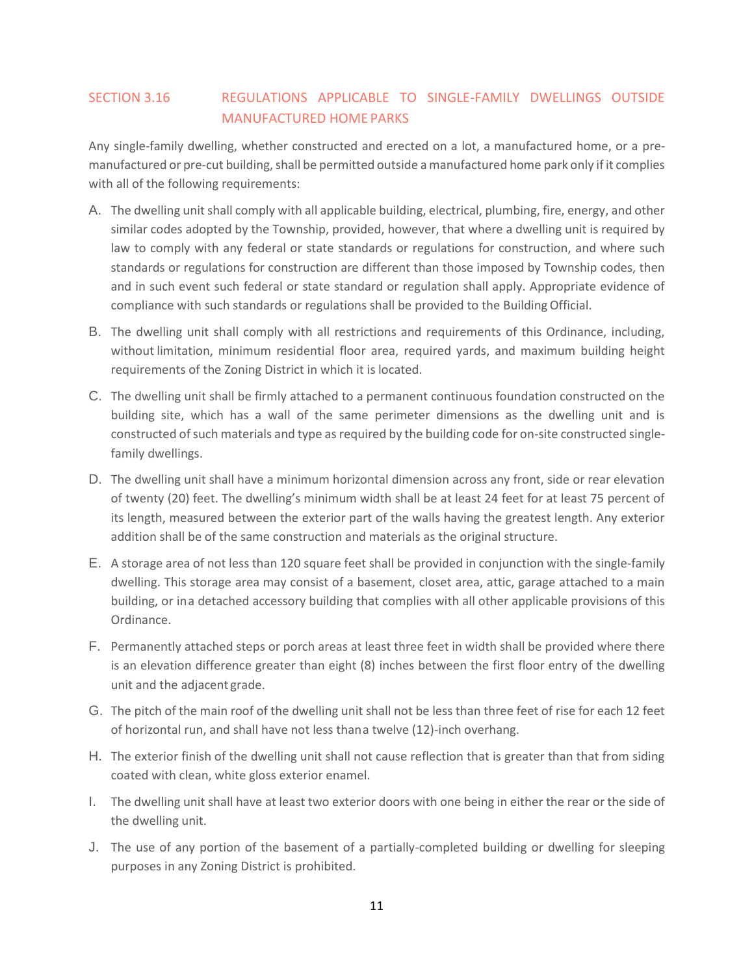## SECTION 3.16 REGULATIONS APPLICABLE TO SINGLE-FAMILY DWELLINGS OUTSIDE MANUFACTURED HOME PARKS

Any single-family dwelling, whether constructed and erected on a lot, a manufactured home, or a premanufactured or pre-cut building, shall be permitted outside a manufactured home park only if it complies with all of the following requirements:

- A. The dwelling unit shall comply with all applicable building, electrical, plumbing, fire, energy, and other similar codes adopted by the Township, provided, however, that where a dwelling unit is required by law to comply with any federal or state standards or regulations for construction, and where such standards or regulations for construction are different than those imposed by Township codes, then and in such event such federal or state standard or regulation shall apply. Appropriate evidence of compliance with such standards or regulations shall be provided to the BuildingOfficial.
- B. The dwelling unit shall comply with all restrictions and requirements of this Ordinance, including, without limitation, minimum residential floor area, required yards, and maximum building height requirements of the Zoning District in which it is located.
- C. The dwelling unit shall be firmly attached to a permanent continuous foundation constructed on the building site, which has a wall of the same perimeter dimensions as the dwelling unit and is constructed of such materials and type as required by the building code for on-site constructed singlefamily dwellings.
- D. The dwelling unit shall have a minimum horizontal dimension across any front, side or rear elevation of twenty (20) feet. The dwelling's minimum width shall be at least 24 feet for at least 75 percent of its length, measured between the exterior part of the walls having the greatest length. Any exterior addition shall be of the same construction and materials as the original structure.
- E. A storage area of not less than 120 square feet shall be provided in conjunction with the single-family dwelling. This storage area may consist of a basement, closet area, attic, garage attached to a main building, or ina detached accessory building that complies with all other applicable provisions of this Ordinance.
- F. Permanently attached steps or porch areas at least three feet in width shall be provided where there is an elevation difference greater than eight (8) inches between the first floor entry of the dwelling unit and the adjacent grade.
- G. The pitch of the main roof of the dwelling unit shall not be less than three feet of rise for each 12 feet of horizontal run, and shall have not less thana twelve (12)-inch overhang.
- H. The exterior finish of the dwelling unit shall not cause reflection that is greater than that from siding coated with clean, white gloss exterior enamel.
- I. The dwelling unit shall have at least two exterior doors with one being in either the rear or the side of the dwelling unit.
- J. The use of any portion of the basement of a partially-completed building or dwelling for sleeping purposes in any Zoning District is prohibited.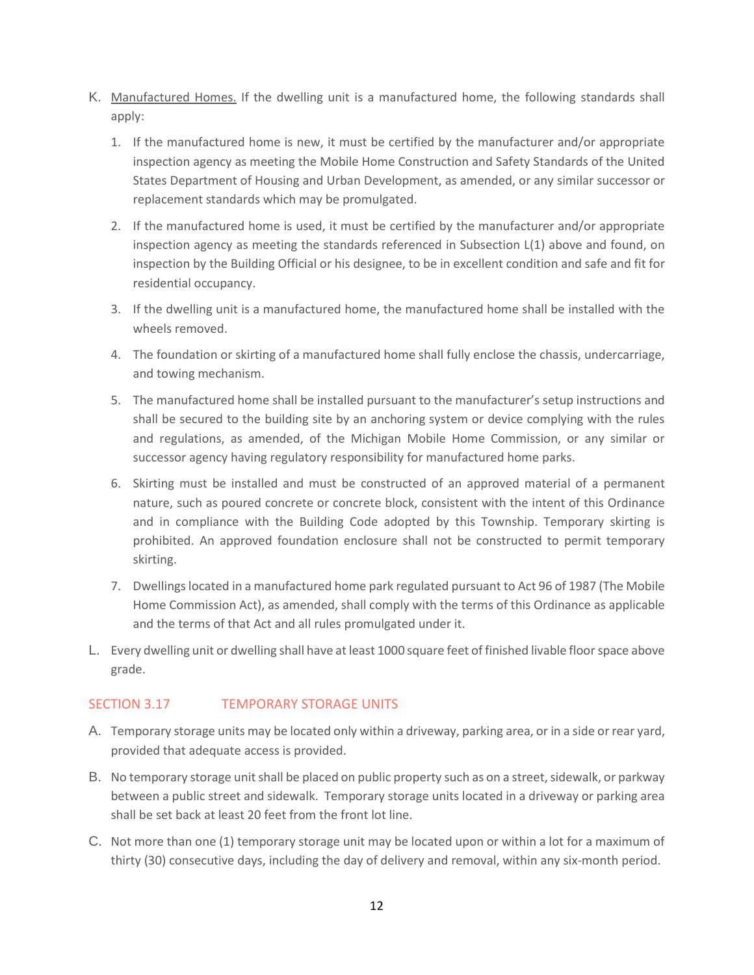- K. Manufactured Homes. If the dwelling unit is a manufactured home, the following standards shall apply:
	- 1. If the manufactured home is new, it must be certified by the manufacturer and/or appropriate inspection agency as meeting the Mobile Home Construction and Safety Standards of the United States Department of Housing and Urban Development, as amended, or any similar successor or replacement standards which may be promulgated.
	- 2. If the manufactured home is used, it must be certified by the manufacturer and/or appropriate inspection agency as meeting the standards referenced in Subsection L(1) above and found, on inspection by the Building Official or his designee, to be in excellent condition and safe and fit for residential occupancy.
	- 3. If the dwelling unit is a manufactured home, the manufactured home shall be installed with the wheels removed.
	- 4. The foundation or skirting of a manufactured home shall fully enclose the chassis, undercarriage, and towing mechanism.
	- 5. The manufactured home shall be installed pursuant to the manufacturer's setup instructions and shall be secured to the building site by an anchoring system or device complying with the rules and regulations, as amended, of the Michigan Mobile Home Commission, or any similar or successor agency having regulatory responsibility for manufactured home parks.
	- 6. Skirting must be installed and must be constructed of an approved material of a permanent nature, such as poured concrete or concrete block, consistent with the intent of this Ordinance and in compliance with the Building Code adopted by this Township. Temporary skirting is prohibited. An approved foundation enclosure shall not be constructed to permit temporary skirting.
	- 7. Dwellings located in a manufactured home park regulated pursuant to Act 96 of 1987 (The Mobile Home Commission Act), as amended, shall comply with the terms of this Ordinance as applicable and the terms of that Act and all rules promulgated under it.
- L. Every dwelling unit or dwelling shall have at least 1000 square feet of finished livable floor space above grade.

## SECTION 3.17 **TEMPORARY STORAGE UNITS**

- A. Temporary storage units may be located only within a driveway, parking area, or in a side or rear yard, provided that adequate access is provided.
- B. No temporary storage unit shall be placed on public property such as on a street, sidewalk, or parkway between a public street and sidewalk. Temporary storage units located in a driveway or parking area shall be set back at least 20 feet from the front lot line.
- C. Not more than one (1) temporary storage unit may be located upon or within a lot for a maximum of thirty (30) consecutive days, including the day of delivery and removal, within any six-month period.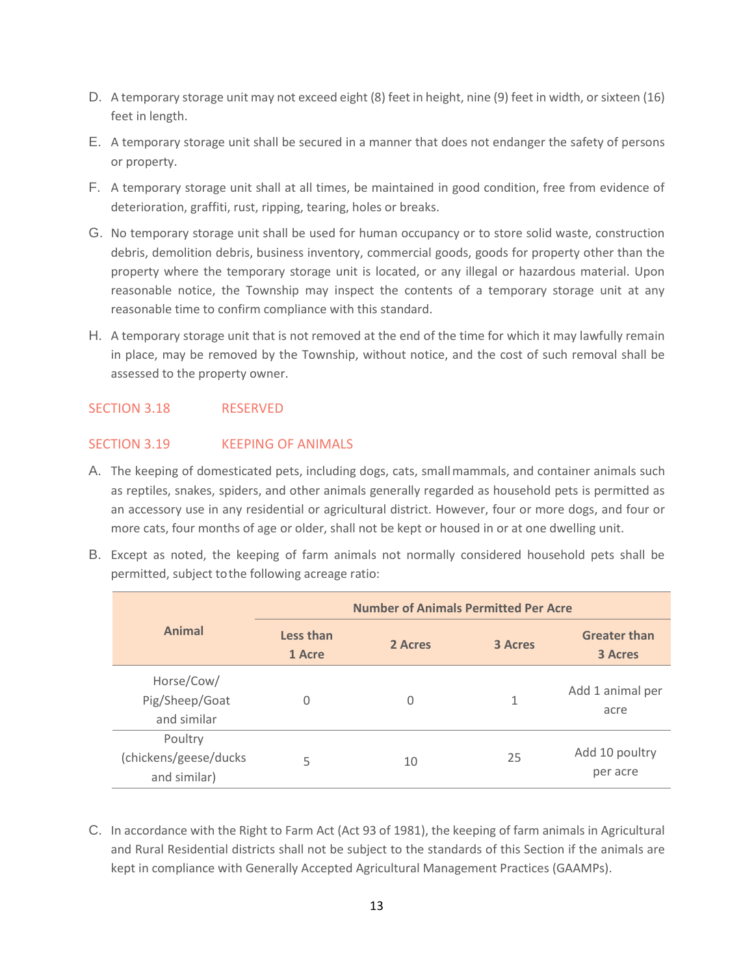- D. A temporary storage unit may not exceed eight (8) feet in height, nine (9) feet in width, or sixteen (16) feet in length.
- E. A temporary storage unit shall be secured in a manner that does not endanger the safety of persons or property.
- F. A temporary storage unit shall at all times, be maintained in good condition, free from evidence of deterioration, graffiti, rust, ripping, tearing, holes or breaks.
- G. No temporary storage unit shall be used for human occupancy or to store solid waste, construction debris, demolition debris, business inventory, commercial goods, goods for property other than the property where the temporary storage unit is located, or any illegal or hazardous material. Upon reasonable notice, the Township may inspect the contents of a temporary storage unit at any reasonable time to confirm compliance with this standard.
- H. A temporary storage unit that is not removed at the end of the time for which it may lawfully remain in place, may be removed by the Township, without notice, and the cost of such removal shall be assessed to the property owner.

## SECTION 3.18 RESERVED

## SECTION 3.19 KEEPING OF ANIMALS

- A. The keeping of domesticated pets, including dogs, cats, smallmammals, and container animals such as reptiles, snakes, spiders, and other animals generally regarded as household pets is permitted as an accessory use in any residential or agricultural district. However, four or more dogs, and four or more cats, four months of age or older, shall not be kept or housed in or at one dwelling unit.
- B. Except as noted, the keeping of farm animals not normally considered household pets shall be permitted, subject tothe following acreage ratio:

|                                                  | <b>Number of Animals Permitted Per Acre</b> |         |                |                                       |  |
|--------------------------------------------------|---------------------------------------------|---------|----------------|---------------------------------------|--|
| <b>Animal</b>                                    | Less than<br>1 Acre                         | 2 Acres | <b>3 Acres</b> | <b>Greater than</b><br><b>3 Acres</b> |  |
| Horse/Cow/<br>Pig/Sheep/Goat<br>and similar      | 0                                           | 0       | 1              | Add 1 animal per<br>acre              |  |
| Poultry<br>(chickens/geese/ducks<br>and similar) | 5                                           | 10      | 25             | Add 10 poultry<br>per acre            |  |

C. In accordance with the Right to Farm Act (Act 93 of 1981), the keeping of farm animals in Agricultural and Rural Residential districts shall not be subject to the standards of this Section if the animals are kept in compliance with Generally Accepted Agricultural Management Practices (GAAMPs).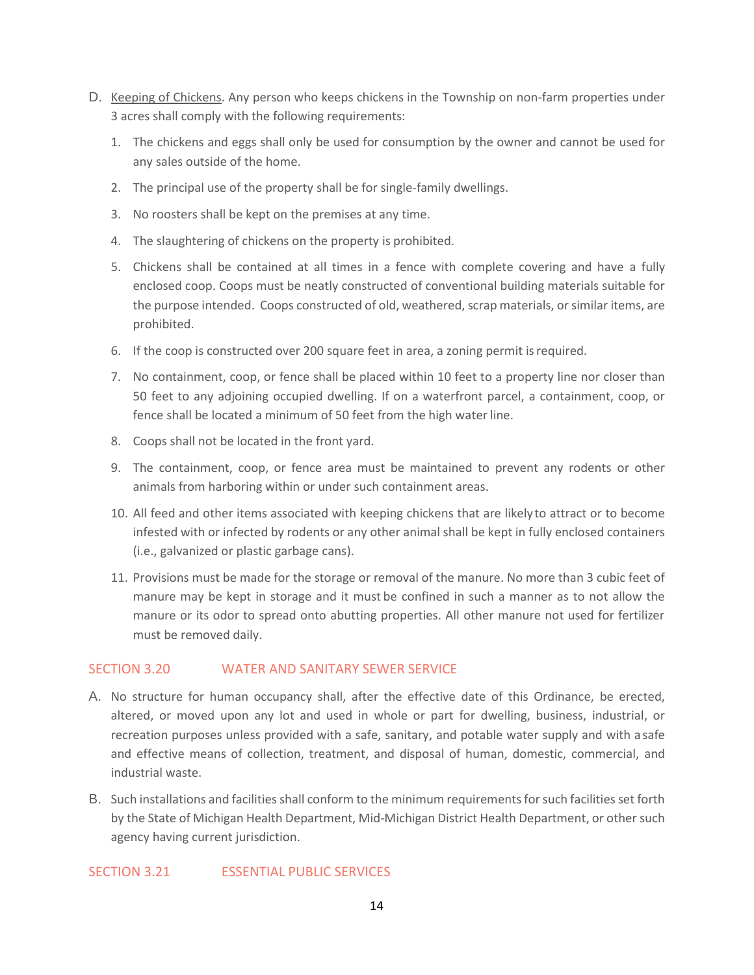- D. Keeping of Chickens. Any person who keeps chickens in the Township on non-farm properties under 3 acres shall comply with the following requirements:
	- 1. The chickens and eggs shall only be used for consumption by the owner and cannot be used for any sales outside of the home.
	- 2. The principal use of the property shall be for single-family dwellings.
	- 3. No roosters shall be kept on the premises at any time.
	- 4. The slaughtering of chickens on the property is prohibited.
	- 5. Chickens shall be contained at all times in a fence with complete covering and have a fully enclosed coop. Coops must be neatly constructed of conventional building materials suitable for the purpose intended. Coops constructed of old, weathered, scrap materials, or similar items, are prohibited.
	- 6. If the coop is constructed over 200 square feet in area, a zoning permit isrequired.
	- 7. No containment, coop, or fence shall be placed within 10 feet to a property line nor closer than 50 feet to any adjoining occupied dwelling. If on a waterfront parcel, a containment, coop, or fence shall be located a minimum of 50 feet from the high water line.
	- 8. Coops shall not be located in the front yard.
	- 9. The containment, coop, or fence area must be maintained to prevent any rodents or other animals from harboring within or under such containment areas.
	- 10. All feed and other items associated with keeping chickens that are likelyto attract or to become infested with or infected by rodents or any other animal shall be kept in fully enclosed containers (i.e., galvanized or plastic garbage cans).
	- 11. Provisions must be made for the storage or removal of the manure. No more than 3 cubic feet of manure may be kept in storage and it must be confined in such a manner as to not allow the manure or its odor to spread onto abutting properties. All other manure not used for fertilizer must be removed daily.

### SECTION 3.20 WATER AND SANITARY SEWER SERVICE

- A. No structure for human occupancy shall, after the effective date of this Ordinance, be erected, altered, or moved upon any lot and used in whole or part for dwelling, business, industrial, or recreation purposes unless provided with a safe, sanitary, and potable water supply and with asafe and effective means of collection, treatment, and disposal of human, domestic, commercial, and industrial waste.
- B. Such installations and facilities shall conform to the minimum requirements for such facilities set forth by the State of Michigan Health Department, Mid-Michigan District Health Department, or other such agency having current jurisdiction.

### SECTION 3.21 ESSENTIAL PUBLIC SERVICES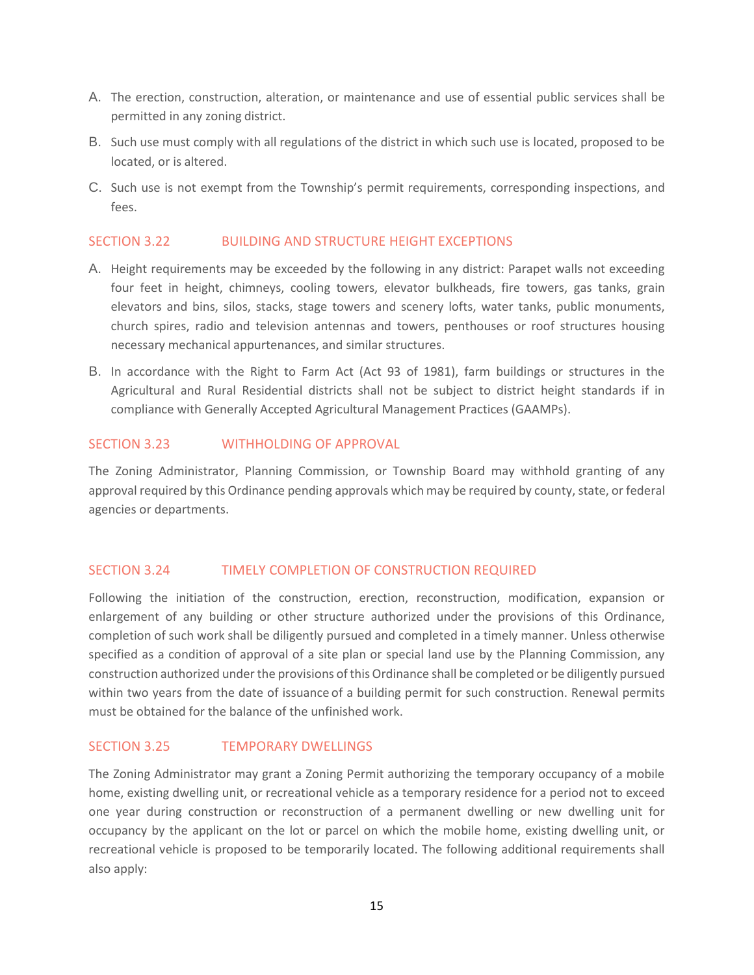- A. The erection, construction, alteration, or maintenance and use of essential public services shall be permitted in any zoning district.
- B. Such use must comply with all regulations of the district in which such use is located, proposed to be located, or is altered.
- C. Such use is not exempt from the Township's permit requirements, corresponding inspections, and fees.

### SECTION 3.22 BUILDING AND STRUCTURE HEIGHT EXCEPTIONS

- A. Height requirements may be exceeded by the following in any district: Parapet walls not exceeding four feet in height, chimneys, cooling towers, elevator bulkheads, fire towers, gas tanks, grain elevators and bins, silos, stacks, stage towers and scenery lofts, water tanks, public monuments, church spires, radio and television antennas and towers, penthouses or roof structures housing necessary mechanical appurtenances, and similar structures.
- B. In accordance with the Right to Farm Act (Act 93 of 1981), farm buildings or structures in the Agricultural and Rural Residential districts shall not be subject to district height standards if in compliance with Generally Accepted Agricultural Management Practices (GAAMPs).

### SECTION 3.23 WITHHOLDING OF APPROVAL

The Zoning Administrator, Planning Commission, or Township Board may withhold granting of any approval required by this Ordinance pending approvals which may be required by county, state, or federal agencies or departments.

### SECTION 3.24 TIMELY COMPLETION OF CONSTRUCTION REQUIRED

Following the initiation of the construction, erection, reconstruction, modification, expansion or enlargement of any building or other structure authorized under the provisions of this Ordinance, completion of such work shall be diligently pursued and completed in a timely manner. Unless otherwise specified as a condition of approval of a site plan or special land use by the Planning Commission, any construction authorized under the provisions of this Ordinance shall be completed or be diligently pursued within two years from the date of issuance of a building permit for such construction. Renewal permits must be obtained for the balance of the unfinished work.

### SECTION 3.25 TEMPORARY DWELLINGS

The Zoning Administrator may grant a Zoning Permit authorizing the temporary occupancy of a mobile home, existing dwelling unit, or recreational vehicle as a temporary residence for a period not to exceed one year during construction or reconstruction of a permanent dwelling or new dwelling unit for occupancy by the applicant on the lot or parcel on which the mobile home, existing dwelling unit, or recreational vehicle is proposed to be temporarily located. The following additional requirements shall also apply: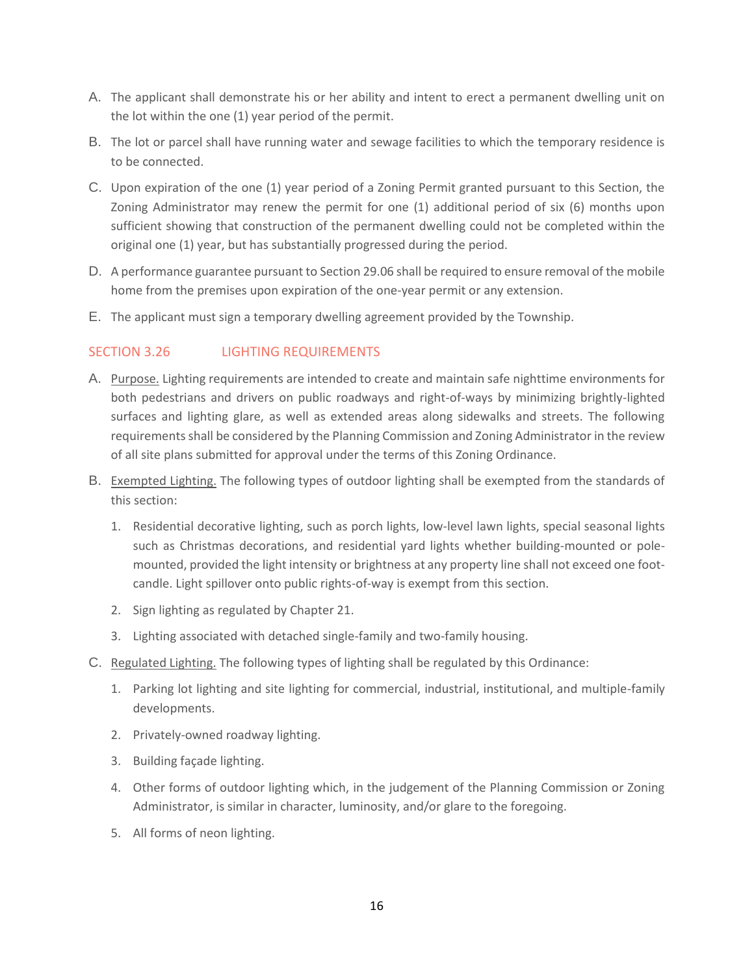- A. The applicant shall demonstrate his or her ability and intent to erect a permanent dwelling unit on the lot within the one (1) year period of the permit.
- B. The lot or parcel shall have running water and sewage facilities to which the temporary residence is to be connected.
- C. Upon expiration of the one (1) year period of a Zoning Permit granted pursuant to this Section, the Zoning Administrator may renew the permit for one (1) additional period of six (6) months upon sufficient showing that construction of the permanent dwelling could not be completed within the original one (1) year, but has substantially progressed during the period.
- D. A performance guarantee pursuant to Section 29.06 shall be required to ensure removal of the mobile home from the premises upon expiration of the one-year permit or any extension.
- E. The applicant must sign a temporary dwelling agreement provided by the Township.

## SECTION 3.26 LIGHTING REQUIREMENTS

- A. Purpose. Lighting requirements are intended to create and maintain safe nighttime environments for both pedestrians and drivers on public roadways and right-of-ways by minimizing brightly-lighted surfaces and lighting glare, as well as extended areas along sidewalks and streets. The following requirements shall be considered by the Planning Commission and Zoning Administrator in the review of all site plans submitted for approval under the terms of this Zoning Ordinance.
- B. Exempted Lighting. The following types of outdoor lighting shall be exempted from the standards of this section:
	- 1. Residential decorative lighting, such as porch lights, low-level lawn lights, special seasonal lights such as Christmas decorations, and residential yard lights whether building-mounted or polemounted, provided the light intensity or brightness at any property line shall not exceed one footcandle. Light spillover onto public rights-of-way is exempt from this section.
	- 2. Sign lighting as regulated by Chapter 21.
	- 3. Lighting associated with detached single-family and two-family housing.
- C. Regulated Lighting. The following types of lighting shall be regulated by this Ordinance:
	- 1. Parking lot lighting and site lighting for commercial, industrial, institutional, and multiple-family developments.
	- 2. Privately-owned roadway lighting.
	- 3. Building façade lighting.
	- 4. Other forms of outdoor lighting which, in the judgement of the Planning Commission or Zoning Administrator, is similar in character, luminosity, and/or glare to the foregoing.
	- 5. All forms of neon lighting.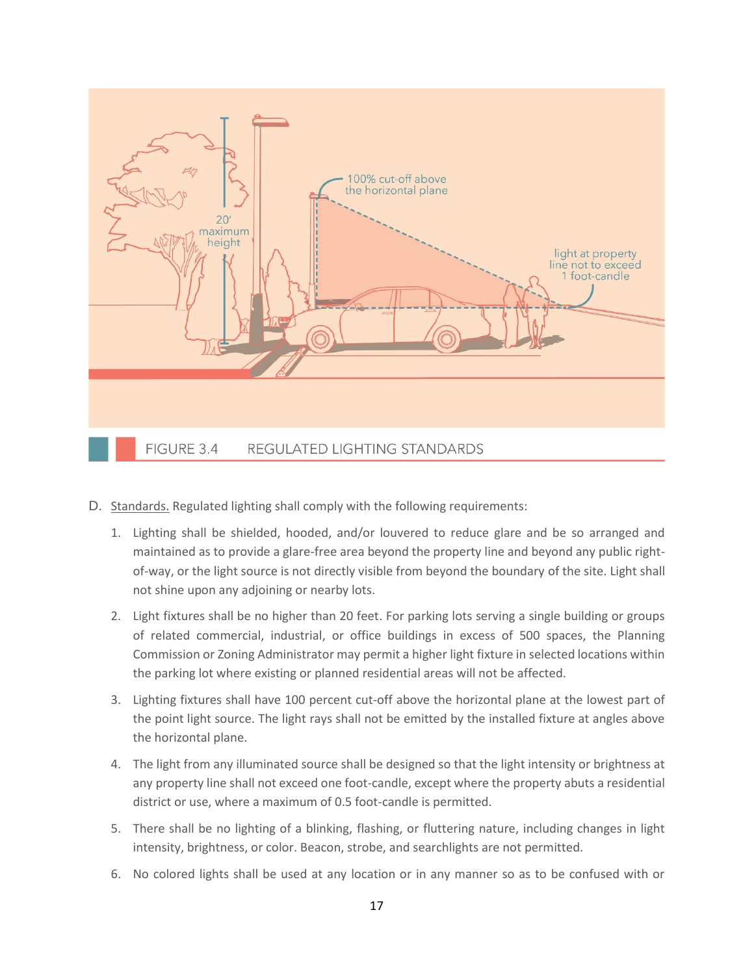

- D. Standards. Regulated lighting shall comply with the following requirements:
	- 1. Lighting shall be shielded, hooded, and/or louvered to reduce glare and be so arranged and maintained as to provide a glare-free area beyond the property line and beyond any public rightof-way, or the light source is not directly visible from beyond the boundary of the site. Light shall not shine upon any adjoining or nearby lots.
	- 2. Light fixtures shall be no higher than 20 feet. For parking lots serving a single building or groups of related commercial, industrial, or office buildings in excess of 500 spaces, the Planning Commission or Zoning Administrator may permit a higher light fixture in selected locations within the parking lot where existing or planned residential areas will not be affected.
	- 3. Lighting fixtures shall have 100 percent cut-off above the horizontal plane at the lowest part of the point light source. The light rays shall not be emitted by the installed fixture at angles above the horizontal plane.
	- 4. The light from any illuminated source shall be designed so that the light intensity or brightness at any property line shall not exceed one foot-candle, except where the property abuts a residential district or use, where a maximum of 0.5 foot-candle is permitted.
	- 5. There shall be no lighting of a blinking, flashing, or fluttering nature, including changes in light intensity, brightness, or color. Beacon, strobe, and searchlights are not permitted.
	- 6. No colored lights shall be used at any location or in any manner so as to be confused with or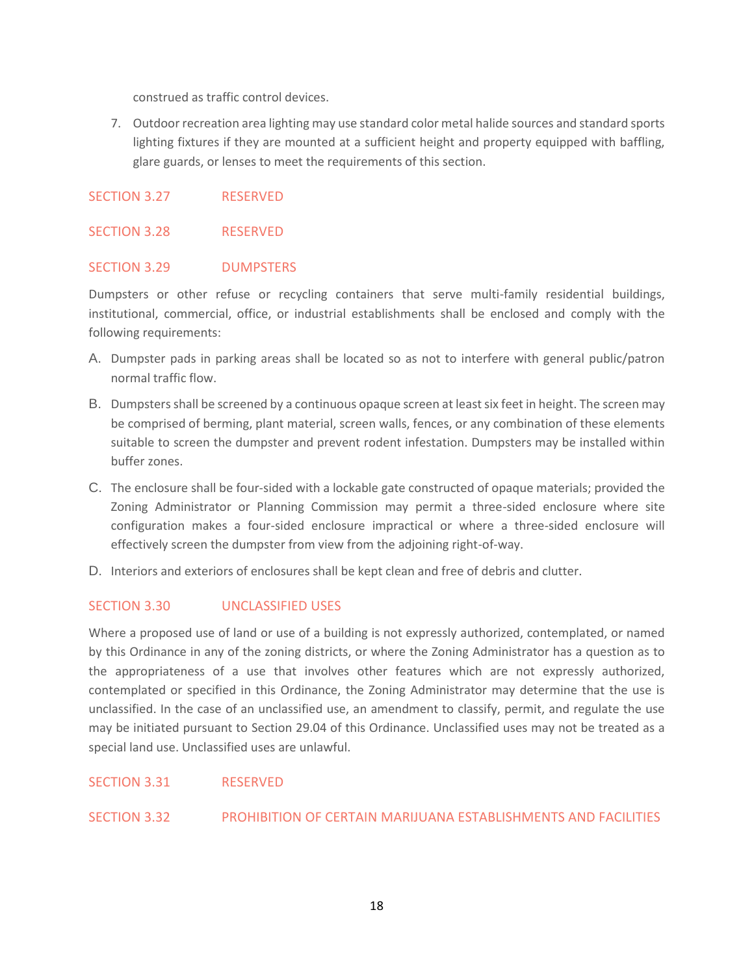construed as traffic control devices.

7. Outdoor recreation area lighting may use standard color metal halide sources and standard sports lighting fixtures if they are mounted at a sufficient height and property equipped with baffling, glare guards, or lenses to meet the requirements of this section.

### SECTION 3.27 RESERVED

### SECTION 3.28 RESERVED

### SECTION 3.29 DUMPSTERS

Dumpsters or other refuse or recycling containers that serve multi-family residential buildings, institutional, commercial, office, or industrial establishments shall be enclosed and comply with the following requirements:

- A. Dumpster pads in parking areas shall be located so as not to interfere with general public/patron normal traffic flow.
- B. Dumpsters shall be screened by a continuous opaque screen at least six feet in height. The screen may be comprised of berming, plant material, screen walls, fences, or any combination of these elements suitable to screen the dumpster and prevent rodent infestation. Dumpsters may be installed within buffer zones.
- C. The enclosure shall be four-sided with a lockable gate constructed of opaque materials; provided the Zoning Administrator or Planning Commission may permit a three-sided enclosure where site configuration makes a four-sided enclosure impractical or where a three-sided enclosure will effectively screen the dumpster from view from the adjoining right-of-way.
- D. Interiors and exteriors of enclosures shall be kept clean and free of debris and clutter.

## SECTION 3.30 UNCLASSIFIED USES

Where a proposed use of land or use of a building is not expressly authorized, contemplated, or named by this Ordinance in any of the zoning districts, or where the Zoning Administrator has a question as to the appropriateness of a use that involves other features which are not expressly authorized, contemplated or specified in this Ordinance, the Zoning Administrator may determine that the use is unclassified. In the case of an unclassified use, an amendment to classify, permit, and regulate the use may be initiated pursuant to Section 29.04 of this Ordinance. Unclassified uses may not be treated as a special land use. Unclassified uses are unlawful.

### SECTION 3.31 RESERVED

### SECTION 3.32 PROHIBITION OF CERTAIN MARIJUANA ESTABLISHMENTS AND FACILITIES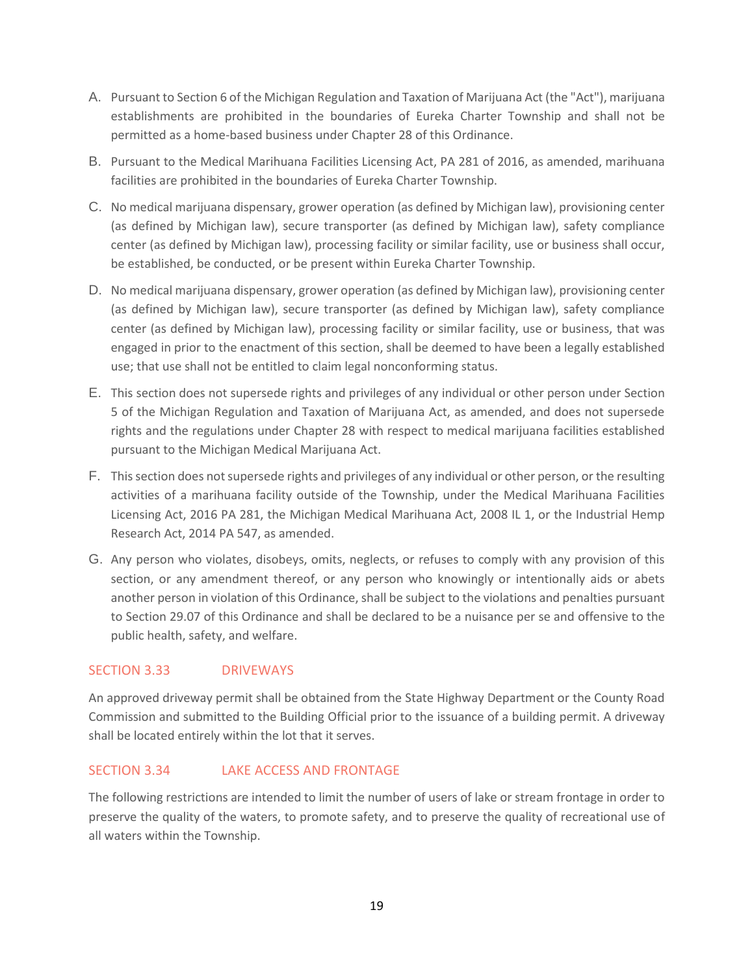- A. Pursuant to Section 6 of the Michigan Regulation and Taxation of Marijuana Act (the "Act"), marijuana establishments are prohibited in the boundaries of Eureka Charter Township and shall not be permitted as a home-based business under Chapter 28 of this Ordinance.
- B. Pursuant to the Medical Marihuana Facilities Licensing Act, PA 281 of 2016, as amended, marihuana facilities are prohibited in the boundaries of Eureka Charter Township.
- C. No medical marijuana dispensary, grower operation (as defined by Michigan law), provisioning center (as defined by Michigan law), secure transporter (as defined by Michigan law), safety compliance center (as defined by Michigan law), processing facility or similar facility, use or business shall occur, be established, be conducted, or be present within Eureka Charter Township.
- D. No medical marijuana dispensary, grower operation (as defined by Michigan law), provisioning center (as defined by Michigan law), secure transporter (as defined by Michigan law), safety compliance center (as defined by Michigan law), processing facility or similar facility, use or business, that was engaged in prior to the enactment of this section, shall be deemed to have been a legally established use; that use shall not be entitled to claim legal nonconforming status.
- E. This section does not supersede rights and privileges of any individual or other person under Section 5 of the Michigan Regulation and Taxation of Marijuana Act, as amended, and does not supersede rights and the regulations under Chapter 28 with respect to medical marijuana facilities established pursuant to the Michigan Medical Marijuana Act.
- F. This section does not supersede rights and privileges of any individual or other person, or the resulting activities of a marihuana facility outside of the Township, under the Medical Marihuana Facilities Licensing Act, 2016 PA 281, the Michigan Medical Marihuana Act, 2008 IL 1, or the Industrial Hemp Research Act, 2014 PA 547, as amended.
- G. Any person who violates, disobeys, omits, neglects, or refuses to comply with any provision of this section, or any amendment thereof, or any person who knowingly or intentionally aids or abets another person in violation of this Ordinance, shall be subject to the violations and penalties pursuant to Section 29.07 of this Ordinance and shall be declared to be a nuisance per se and offensive to the public health, safety, and welfare.

## SECTION 3.33 DRIVEWAYS

An approved driveway permit shall be obtained from the State Highway Department or the County Road Commission and submitted to the Building Official prior to the issuance of a building permit. A driveway shall be located entirely within the lot that it serves.

## SECTION 3.34 LAKE ACCESS AND FRONTAGE

The following restrictions are intended to limit the number of users of lake or stream frontage in order to preserve the quality of the waters, to promote safety, and to preserve the quality of recreational use of all waters within the Township.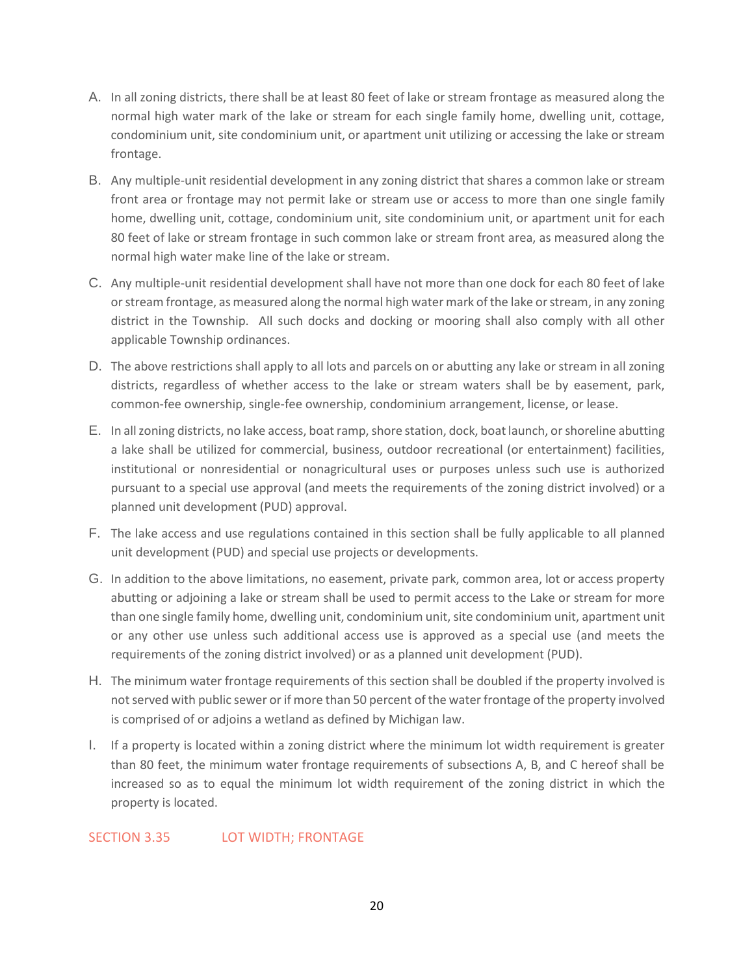- A. In all zoning districts, there shall be at least 80 feet of lake or stream frontage as measured along the normal high water mark of the lake or stream for each single family home, dwelling unit, cottage, condominium unit, site condominium unit, or apartment unit utilizing or accessing the lake or stream frontage.
- B. Any multiple-unit residential development in any zoning district that shares a common lake or stream front area or frontage may not permit lake or stream use or access to more than one single family home, dwelling unit, cottage, condominium unit, site condominium unit, or apartment unit for each 80 feet of lake or stream frontage in such common lake or stream front area, as measured along the normal high water make line of the lake or stream.
- C. Any multiple-unit residential development shall have not more than one dock for each 80 feet of lake or stream frontage, as measured along the normal high water mark of the lake or stream, in any zoning district in the Township. All such docks and docking or mooring shall also comply with all other applicable Township ordinances.
- D. The above restrictions shall apply to all lots and parcels on or abutting any lake or stream in all zoning districts, regardless of whether access to the lake or stream waters shall be by easement, park, common-fee ownership, single-fee ownership, condominium arrangement, license, or lease.
- E. In all zoning districts, no lake access, boat ramp, shore station, dock, boat launch, or shoreline abutting a lake shall be utilized for commercial, business, outdoor recreational (or entertainment) facilities, institutional or nonresidential or nonagricultural uses or purposes unless such use is authorized pursuant to a special use approval (and meets the requirements of the zoning district involved) or a planned unit development (PUD) approval.
- F. The lake access and use regulations contained in this section shall be fully applicable to all planned unit development (PUD) and special use projects or developments.
- G. In addition to the above limitations, no easement, private park, common area, lot or access property abutting or adjoining a lake or stream shall be used to permit access to the Lake or stream for more than one single family home, dwelling unit, condominium unit, site condominium unit, apartment unit or any other use unless such additional access use is approved as a special use (and meets the requirements of the zoning district involved) or as a planned unit development (PUD).
- H. The minimum water frontage requirements of this section shall be doubled if the property involved is not served with public sewer or if more than 50 percent of the water frontage of the property involved is comprised of or adjoins a wetland as defined by Michigan law.
- I. If a property is located within a zoning district where the minimum lot width requirement is greater than 80 feet, the minimum water frontage requirements of subsections A, B, and C hereof shall be increased so as to equal the minimum lot width requirement of the zoning district in which the property is located.

## SECTION 3.35 LOT WIDTH; FRONTAGE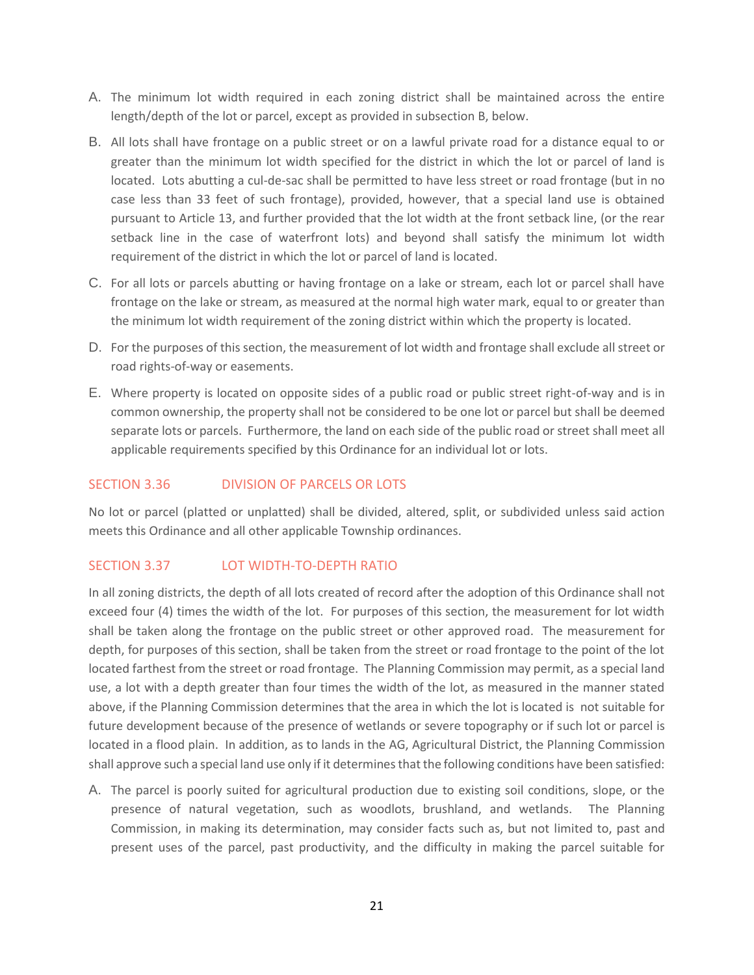- A. The minimum lot width required in each zoning district shall be maintained across the entire length/depth of the lot or parcel, except as provided in subsection B, below.
- B. All lots shall have frontage on a public street or on a lawful private road for a distance equal to or greater than the minimum lot width specified for the district in which the lot or parcel of land is located. Lots abutting a cul-de-sac shall be permitted to have less street or road frontage (but in no case less than 33 feet of such frontage), provided, however, that a special land use is obtained pursuant to Article 13, and further provided that the lot width at the front setback line, (or the rear setback line in the case of waterfront lots) and beyond shall satisfy the minimum lot width requirement of the district in which the lot or parcel of land is located.
- C. For all lots or parcels abutting or having frontage on a lake or stream, each lot or parcel shall have frontage on the lake or stream, as measured at the normal high water mark, equal to or greater than the minimum lot width requirement of the zoning district within which the property is located.
- D. For the purposes of this section, the measurement of lot width and frontage shall exclude all street or road rights-of-way or easements.
- E. Where property is located on opposite sides of a public road or public street right-of-way and is in common ownership, the property shall not be considered to be one lot or parcel but shall be deemed separate lots or parcels. Furthermore, the land on each side of the public road or street shall meet all applicable requirements specified by this Ordinance for an individual lot or lots.

## SECTION 3.36 DIVISION OF PARCELS OR LOTS

No lot or parcel (platted or unplatted) shall be divided, altered, split, or subdivided unless said action meets this Ordinance and all other applicable Township ordinances.

## SECTION 3.37 LOT WIDTH-TO-DEPTH RATIO

In all zoning districts, the depth of all lots created of record after the adoption of this Ordinance shall not exceed four (4) times the width of the lot. For purposes of this section, the measurement for lot width shall be taken along the frontage on the public street or other approved road. The measurement for depth, for purposes of this section, shall be taken from the street or road frontage to the point of the lot located farthest from the street or road frontage. The Planning Commission may permit, as a special land use, a lot with a depth greater than four times the width of the lot, as measured in the manner stated above, if the Planning Commission determines that the area in which the lot is located is not suitable for future development because of the presence of wetlands or severe topography or if such lot or parcel is located in a flood plain. In addition, as to lands in the AG, Agricultural District, the Planning Commission shall approve such a special land use only if it determines that the following conditions have been satisfied:

A. The parcel is poorly suited for agricultural production due to existing soil conditions, slope, or the presence of natural vegetation, such as woodlots, brushland, and wetlands. The Planning Commission, in making its determination, may consider facts such as, but not limited to, past and present uses of the parcel, past productivity, and the difficulty in making the parcel suitable for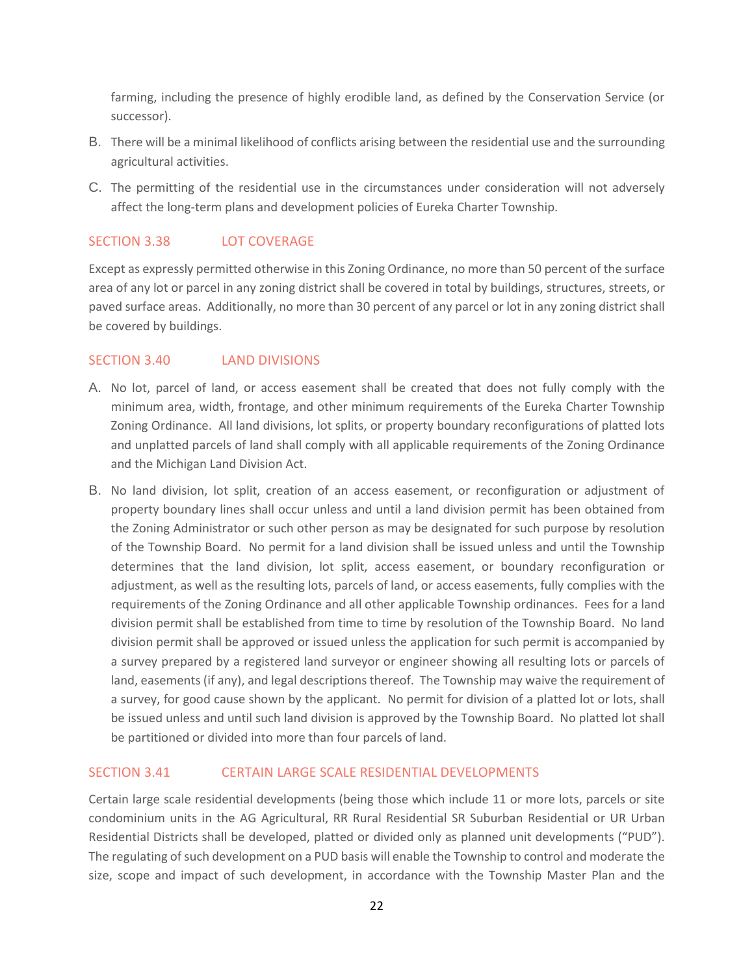farming, including the presence of highly erodible land, as defined by the Conservation Service (or successor).

- B. There will be a minimal likelihood of conflicts arising between the residential use and the surrounding agricultural activities.
- C. The permitting of the residential use in the circumstances under consideration will not adversely affect the long-term plans and development policies of Eureka Charter Township.

## SECTION 3.38 LOT COVERAGE

Except as expressly permitted otherwise in this Zoning Ordinance, no more than 50 percent of the surface area of any lot or parcel in any zoning district shall be covered in total by buildings, structures, streets, or paved surface areas. Additionally, no more than 30 percent of any parcel or lot in any zoning district shall be covered by buildings.

## SECTION 3.40 LAND DIVISIONS

- A. No lot, parcel of land, or access easement shall be created that does not fully comply with the minimum area, width, frontage, and other minimum requirements of the Eureka Charter Township Zoning Ordinance. All land divisions, lot splits, or property boundary reconfigurations of platted lots and unplatted parcels of land shall comply with all applicable requirements of the Zoning Ordinance and the Michigan Land Division Act.
- B. No land division, lot split, creation of an access easement, or reconfiguration or adjustment of property boundary lines shall occur unless and until a land division permit has been obtained from the Zoning Administrator or such other person as may be designated for such purpose by resolution of the Township Board. No permit for a land division shall be issued unless and until the Township determines that the land division, lot split, access easement, or boundary reconfiguration or adjustment, as well as the resulting lots, parcels of land, or access easements, fully complies with the requirements of the Zoning Ordinance and all other applicable Township ordinances. Fees for a land division permit shall be established from time to time by resolution of the Township Board. No land division permit shall be approved or issued unless the application for such permit is accompanied by a survey prepared by a registered land surveyor or engineer showing all resulting lots or parcels of land, easements (if any), and legal descriptions thereof. The Township may waive the requirement of a survey, for good cause shown by the applicant. No permit for division of a platted lot or lots, shall be issued unless and until such land division is approved by the Township Board. No platted lot shall be partitioned or divided into more than four parcels of land.

## SECTION 3.41 CERTAIN LARGE SCALE RESIDENTIAL DEVELOPMENTS

Certain large scale residential developments (being those which include 11 or more lots, parcels or site condominium units in the AG Agricultural, RR Rural Residential SR Suburban Residential or UR Urban Residential Districts shall be developed, platted or divided only as planned unit developments ("PUD"). The regulating of such development on a PUD basis will enable the Township to control and moderate the size, scope and impact of such development, in accordance with the Township Master Plan and the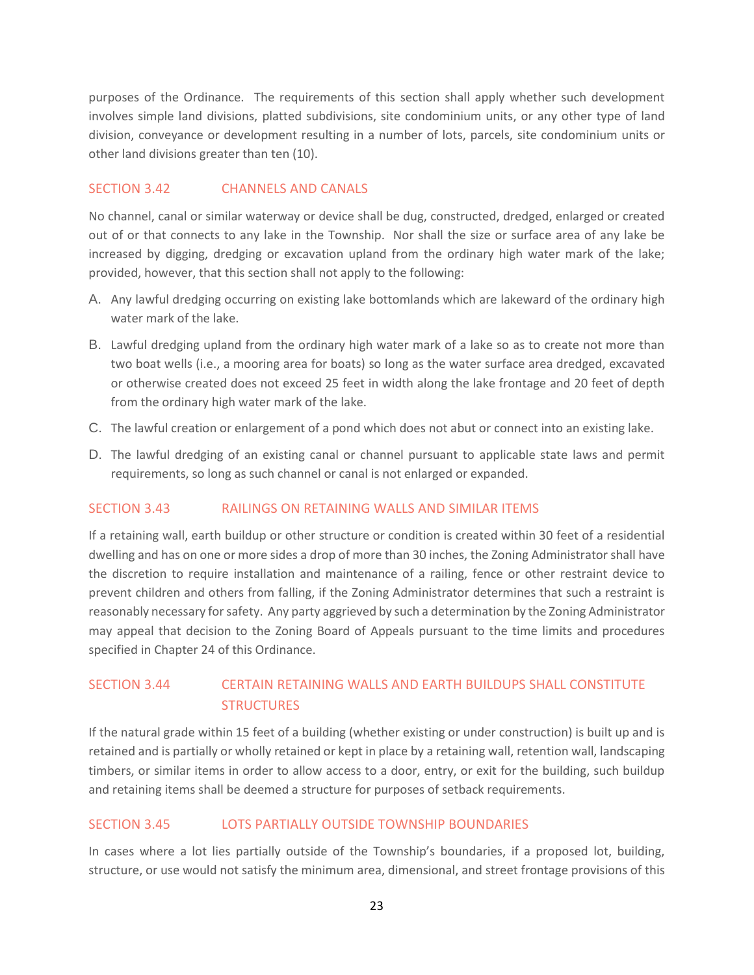purposes of the Ordinance. The requirements of this section shall apply whether such development involves simple land divisions, platted subdivisions, site condominium units, or any other type of land division, conveyance or development resulting in a number of lots, parcels, site condominium units or other land divisions greater than ten (10).

## SECTION 3.42 CHANNELS AND CANALS

No channel, canal or similar waterway or device shall be dug, constructed, dredged, enlarged or created out of or that connects to any lake in the Township. Nor shall the size or surface area of any lake be increased by digging, dredging or excavation upland from the ordinary high water mark of the lake; provided, however, that this section shall not apply to the following:

- A. Any lawful dredging occurring on existing lake bottomlands which are lakeward of the ordinary high water mark of the lake.
- B. Lawful dredging upland from the ordinary high water mark of a lake so as to create not more than two boat wells (i.e., a mooring area for boats) so long as the water surface area dredged, excavated or otherwise created does not exceed 25 feet in width along the lake frontage and 20 feet of depth from the ordinary high water mark of the lake.
- C. The lawful creation or enlargement of a pond which does not abut or connect into an existing lake.
- D. The lawful dredging of an existing canal or channel pursuant to applicable state laws and permit requirements, so long as such channel or canal is not enlarged or expanded.

## SECTION 3.43 RAILINGS ON RETAINING WALLS AND SIMILAR ITEMS

If a retaining wall, earth buildup or other structure or condition is created within 30 feet of a residential dwelling and has on one or more sides a drop of more than 30 inches, the Zoning Administrator shall have the discretion to require installation and maintenance of a railing, fence or other restraint device to prevent children and others from falling, if the Zoning Administrator determines that such a restraint is reasonably necessary for safety. Any party aggrieved by such a determination by the Zoning Administrator may appeal that decision to the Zoning Board of Appeals pursuant to the time limits and procedures specified in Chapter 24 of this Ordinance.

## SECTION 3.44 CERTAIN RETAINING WALLS AND EARTH BUILDUPS SHALL CONSTITUTE **STRUCTURES**

If the natural grade within 15 feet of a building (whether existing or under construction) is built up and is retained and is partially or wholly retained or kept in place by a retaining wall, retention wall, landscaping timbers, or similar items in order to allow access to a door, entry, or exit for the building, such buildup and retaining items shall be deemed a structure for purposes of setback requirements.

## SECTION 3.45 LOTS PARTIALLY OUTSIDE TOWNSHIP BOUNDARIES

In cases where a lot lies partially outside of the Township's boundaries, if a proposed lot, building, structure, or use would not satisfy the minimum area, dimensional, and street frontage provisions of this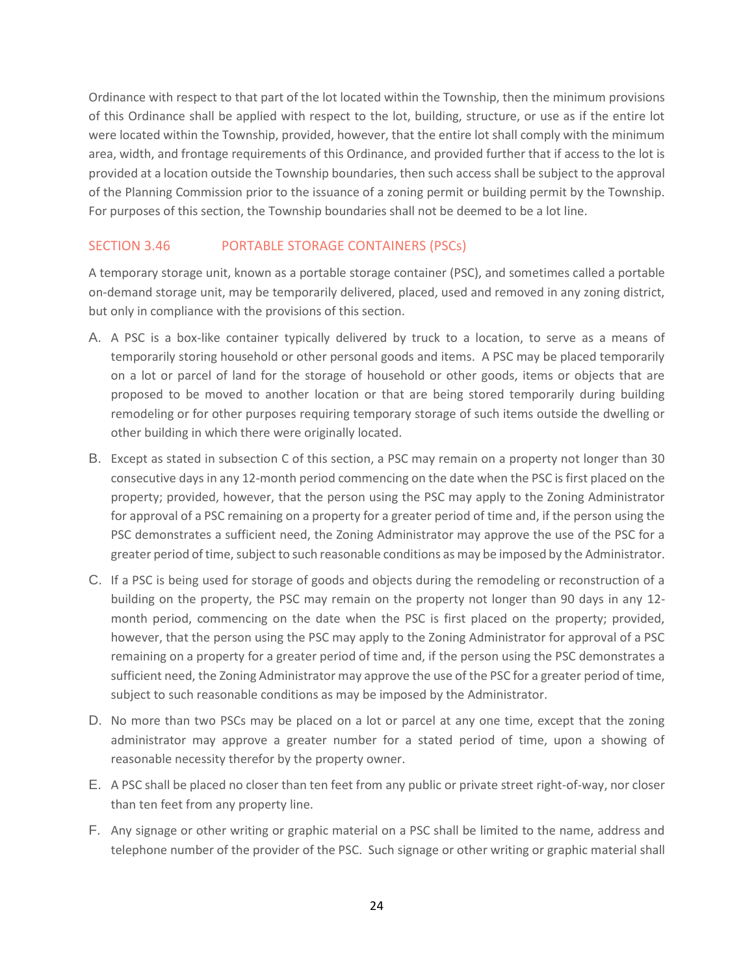Ordinance with respect to that part of the lot located within the Township, then the minimum provisions of this Ordinance shall be applied with respect to the lot, building, structure, or use as if the entire lot were located within the Township, provided, however, that the entire lot shall comply with the minimum area, width, and frontage requirements of this Ordinance, and provided further that if access to the lot is provided at a location outside the Township boundaries, then such access shall be subject to the approval of the Planning Commission prior to the issuance of a zoning permit or building permit by the Township. For purposes of this section, the Township boundaries shall not be deemed to be a lot line.

## SECTION 3.46 PORTABLE STORAGE CONTAINERS (PSCs)

A temporary storage unit, known as a portable storage container (PSC), and sometimes called a portable on-demand storage unit, may be temporarily delivered, placed, used and removed in any zoning district, but only in compliance with the provisions of this section.

- A. A PSC is a box-like container typically delivered by truck to a location, to serve as a means of temporarily storing household or other personal goods and items. A PSC may be placed temporarily on a lot or parcel of land for the storage of household or other goods, items or objects that are proposed to be moved to another location or that are being stored temporarily during building remodeling or for other purposes requiring temporary storage of such items outside the dwelling or other building in which there were originally located.
- B. Except as stated in subsection C of this section, a PSC may remain on a property not longer than 30 consecutive days in any 12-month period commencing on the date when the PSC is first placed on the property; provided, however, that the person using the PSC may apply to the Zoning Administrator for approval of a PSC remaining on a property for a greater period of time and, if the person using the PSC demonstrates a sufficient need, the Zoning Administrator may approve the use of the PSC for a greater period of time, subject to such reasonable conditions as may be imposed by the Administrator.
- C. If a PSC is being used for storage of goods and objects during the remodeling or reconstruction of a building on the property, the PSC may remain on the property not longer than 90 days in any 12 month period, commencing on the date when the PSC is first placed on the property; provided, however, that the person using the PSC may apply to the Zoning Administrator for approval of a PSC remaining on a property for a greater period of time and, if the person using the PSC demonstrates a sufficient need, the Zoning Administrator may approve the use of the PSC for a greater period of time, subject to such reasonable conditions as may be imposed by the Administrator.
- D. No more than two PSCs may be placed on a lot or parcel at any one time, except that the zoning administrator may approve a greater number for a stated period of time, upon a showing of reasonable necessity therefor by the property owner.
- E. A PSC shall be placed no closer than ten feet from any public or private street right-of-way, nor closer than ten feet from any property line.
- F. Any signage or other writing or graphic material on a PSC shall be limited to the name, address and telephone number of the provider of the PSC. Such signage or other writing or graphic material shall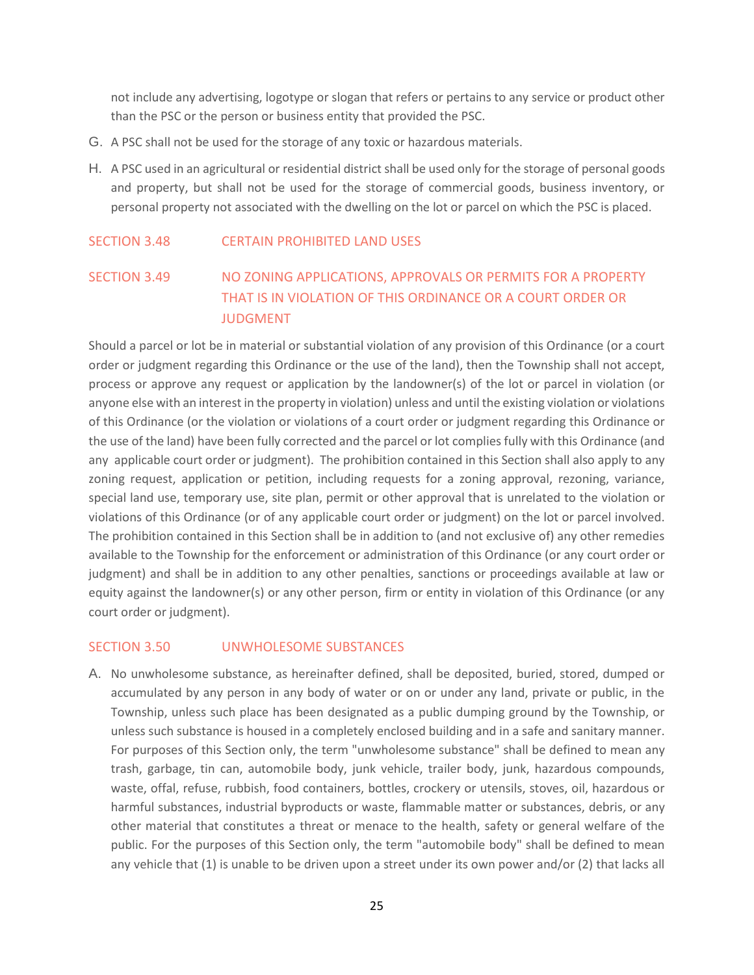not include any advertising, logotype or slogan that refers or pertains to any service or product other than the PSC or the person or business entity that provided the PSC.

- G. A PSC shall not be used for the storage of any toxic or hazardous materials.
- H. A PSC used in an agricultural or residential district shall be used only for the storage of personal goods and property, but shall not be used for the storage of commercial goods, business inventory, or personal property not associated with the dwelling on the lot or parcel on which the PSC is placed.

### SECTION 3.48 CERTAIN PROHIBITED LAND USES

## SECTION 3.49 NO ZONING APPLICATIONS, APPROVALS OR PERMITS FOR A PROPERTY THAT IS IN VIOLATION OF THIS ORDINANCE OR A COURT ORDER OR **JUDGMENT**

Should a parcel or lot be in material or substantial violation of any provision of this Ordinance (or a court order or judgment regarding this Ordinance or the use of the land), then the Township shall not accept, process or approve any request or application by the landowner(s) of the lot or parcel in violation (or anyone else with an interest in the property in violation) unless and until the existing violation or violations of this Ordinance (or the violation or violations of a court order or judgment regarding this Ordinance or the use of the land) have been fully corrected and the parcel or lot complies fully with this Ordinance (and any applicable court order or judgment). The prohibition contained in this Section shall also apply to any zoning request, application or petition, including requests for a zoning approval, rezoning, variance, special land use, temporary use, site plan, permit or other approval that is unrelated to the violation or violations of this Ordinance (or of any applicable court order or judgment) on the lot or parcel involved. The prohibition contained in this Section shall be in addition to (and not exclusive of) any other remedies available to the Township for the enforcement or administration of this Ordinance (or any court order or judgment) and shall be in addition to any other penalties, sanctions or proceedings available at law or equity against the landowner(s) or any other person, firm or entity in violation of this Ordinance (or any court order or judgment).

### SECTION 3.50 UNWHOLESOME SUBSTANCES

A. No unwholesome substance, as hereinafter defined, shall be deposited, buried, stored, dumped or accumulated by any person in any body of water or on or under any land, private or public, in the Township, unless such place has been designated as a public dumping ground by the Township, or unless such substance is housed in a completely enclosed building and in a safe and sanitary manner. For purposes of this Section only, the term "unwholesome substance" shall be defined to mean any trash, garbage, tin can, automobile body, junk vehicle, trailer body, junk, hazardous compounds, waste, offal, refuse, rubbish, food containers, bottles, crockery or utensils, stoves, oil, hazardous or harmful substances, industrial byproducts or waste, flammable matter or substances, debris, or any other material that constitutes a threat or menace to the health, safety or general welfare of the public. For the purposes of this Section only, the term "automobile body" shall be defined to mean any vehicle that (1) is unable to be driven upon a street under its own power and/or (2) that lacks all